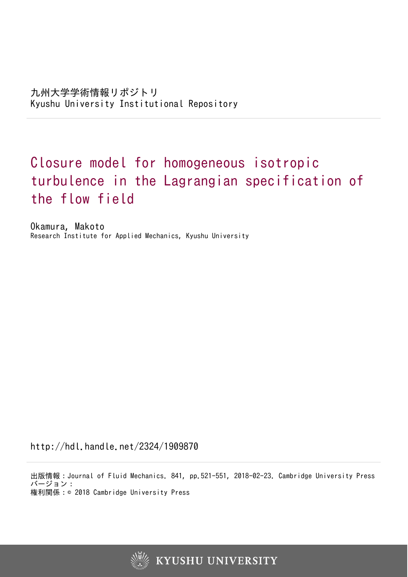# Closure model for homogeneous isotropic turbulence in the Lagrangian specification of the flow field

Okamura, Makoto Research Institute for Applied Mechanics, Kyushu University

http://hdl.handle.net/2324/1909870

出版情報:Journal of Fluid Mechanics. 841, pp.521-551, 2018-02-23. Cambridge University Press バージョン: 権利関係:© 2018 Cambridge University Press

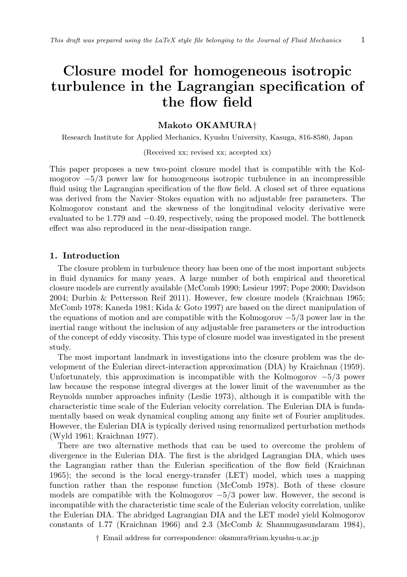# **Closure model for homogeneous isotropic turbulence in the Lagrangian specification of the flow field**

## **Makoto OKAMURA***†*

Research Institute for Applied Mechanics, Kyushu University, Kasuga, 816-8580, Japan

#### (Received xx; revised xx; accepted xx)

This paper proposes a new two-point closure model that is compatible with the Kolmogorov *−*5*/*3 power law for homogeneous isotropic turbulence in an incompressible fluid using the Lagrangian specification of the flow field. A closed set of three equations was derived from the Navier–Stokes equation with no adjustable free parameters. The Kolmogorov constant and the skewness of the longitudinal velocity derivative were evaluated to be 1*.*779 and *−*0*.*49, respectively, using the proposed model. The bottleneck effect was also reproduced in the near-dissipation range.

#### **1. Introduction**

The closure problem in turbulence theory has been one of the most important subjects in fluid dynamics for many years. A large number of both empirical and theoretical closure models are currently available (McComb 1990; Lesieur 1997; Pope 2000; Davidson 2004; Durbin & Pettersson Reif 2011). However, few closure models (Kraichnan 1965; McComb 1978; Kaneda 1981; Kida & Goto 1997) are based on the direct manipulation of the equations of motion and are compatible with the Kolmogorov *−*5*/*3 power law in the inertial range without the inclusion of any adjustable free parameters or the introduction of the concept of eddy viscosity. This type of closure model was investigated in the present study.

The most important landmark in investigations into the closure problem was the development of the Eulerian direct-interaction approximation (DIA) by Kraichnan (1959). Unfortunately, this approximation is incompatible with the Kolmogorov *−*5*/*3 power law because the response integral diverges at the lower limit of the wavenumber as the Reynolds number approaches infinity (Leslie 1973), although it is compatible with the characteristic time scale of the Eulerian velocity correlation. The Eulerian DIA is fundamentally based on weak dynamical coupling among any finite set of Fourier amplitudes. However, the Eulerian DIA is typically derived using renormalized perturbation methods (Wyld 1961; Kraichnan 1977).

There are two alternative methods that can be used to overcome the problem of divergence in the Eulerian DIA. The first is the abridged Lagrangian DIA, which uses the Lagrangian rather than the Eulerian specification of the flow field (Kraichnan 1965); the second is the local energy-transfer (LET) model, which uses a mapping function rather than the response function (McComb 1978). Both of these closure models are compatible with the Kolmogorov *−*5*/*3 power law. However, the second is incompatible with the characteristic time scale of the Eulerian velocity correlation, unlike the Eulerian DIA. The abridged Lagrangian DIA and the LET model yield Kolmogorov constants of 1*.*77 (Kraichnan 1966) and 2*.*3 (McComb & Shanmugasundaram 1984),

*†* Email address for correspondence: okamura@riam.kyushu-u.ac.jp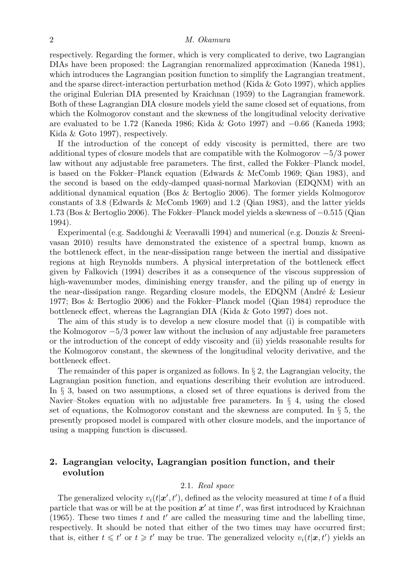respectively. Regarding the former, which is very complicated to derive, two Lagrangian DIAs have been proposed: the Lagrangian renormalized approximation (Kaneda 1981), which introduces the Lagrangian position function to simplify the Lagrangian treatment, and the sparse direct-interaction perturbation method (Kida  $\&$  Goto 1997), which applies the original Eulerian DIA presented by Kraichnan (1959) to the Lagrangian framework. Both of these Lagrangian DIA closure models yield the same closed set of equations, from which the Kolmogorov constant and the skewness of the longitudinal velocity derivative are evaluated to be 1.72 (Kaneda 1986; Kida & Goto 1997) and *−*0*.*66 (Kaneda 1993; Kida & Goto 1997), respectively.

If the introduction of the concept of eddy viscosity is permitted, there are two additional types of closure models that are compatible with the Kolmogorov *−*5*/*3 power law without any adjustable free parameters. The first, called the Fokker–Planck model, is based on the Fokker–Planck equation (Edwards & McComb 1969; Qian 1983), and the second is based on the eddy-damped quasi-normal Markovian (EDQNM) with an additional dynamical equation (Bos & Bertoglio 2006). The former yields Kolmogorov constants of 3.8 (Edwards & McComb 1969) and 1.2 (Qian 1983), and the latter yields 1.73 (Bos & Bertoglio 2006). The Fokker–Planck model yields a skewness of *−*0*.*515 (Qian 1994).

Experimental (e.g. Saddoughi & Veeravalli 1994) and numerical (e.g. Donzis & Sreenivasan 2010) results have demonstrated the existence of a spectral bump, known as the bottleneck effect, in the near-dissipation range between the inertial and dissipative regions at high Reynolds numbers. A physical interpretation of the bottleneck effect given by Falkovich (1994) describes it as a consequence of the viscous suppression of high-wavenumber modes, diminishing energy transfer, and the piling up of energy in the near-dissipation range. Regarding closure models, the EDQNM (André  $&$  Lesieur 1977; Bos & Bertoglio 2006) and the Fokker–Planck model (Qian 1984) reproduce the bottleneck effect, whereas the Lagrangian DIA (Kida & Goto 1997) does not.

The aim of this study is to develop a new closure model that (i) is compatible with the Kolmogorov *−*5*/*3 power law without the inclusion of any adjustable free parameters or the introduction of the concept of eddy viscosity and (ii) yields reasonable results for the Kolmogorov constant, the skewness of the longitudinal velocity derivative, and the bottleneck effect.

The remainder of this paper is organized as follows. In *§* 2, the Lagrangian velocity, the Lagrangian position function, and equations describing their evolution are introduced. In *§* 3, based on two assumptions, a closed set of three equations is derived from the Navier–Stokes equation with no adjustable free parameters. In *§* 4, using the closed set of equations, the Kolmogorov constant and the skewness are computed. In *§* 5, the presently proposed model is compared with other closure models, and the importance of using a mapping function is discussed.

# **2. Lagrangian velocity, Lagrangian position function, and their evolution**

#### 2.1. *Real space*

The generalized velocity  $v_i(t|\mathbf{x}', t')$ , defined as the velocity measured at time *t* of a fluid particle that was or will be at the position *x ′* at time *t ′* , was first introduced by Kraichnan (1965). These two times  $t$  and  $t'$  are called the measuring time and the labelling time, respectively. It should be noted that either of the two times may have occurred first; that is, either  $t \leq t'$  or  $t \geq t'$  may be true. The generalized velocity  $v_i(t|\mathbf{x}, t')$  yields an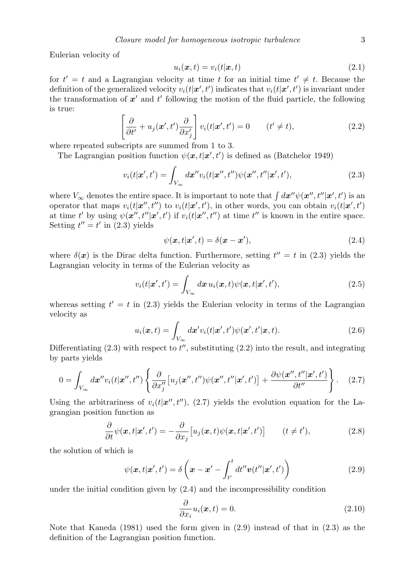Eulerian velocity of

$$
u_i(\boldsymbol{x},t) = v_i(t|\boldsymbol{x},t) \tag{2.1}
$$

for  $t' = t$  and a Lagrangian velocity at time *t* for an initial time  $t' \neq t$ . Because the definition of the generalized velocity  $v_i(t|\mathbf{x}', t')$  indicates that  $v_i(t|\mathbf{x}', t')$  is invariant under the transformation of *x ′* and *t ′* following the motion of the fluid particle, the following is true:

$$
\left[\frac{\partial}{\partial t'} + u_j(\boldsymbol{x}', t') \frac{\partial}{\partial x'_j}\right] v_i(t|\boldsymbol{x}', t') = 0 \qquad (t' \neq t),
$$
\n(2.2)

where repeated subscripts are summed from 1 to 3.

The Lagrangian position function  $\psi(\mathbf{x}, t | \mathbf{x}', t')$  is defined as (Batchelor 1949)

$$
v_i(t|\mathbf{x}',t') = \int_{V_{\infty}} d\mathbf{x}'' v_i(t|\mathbf{x}'',t'') \psi(\mathbf{x}'',t''|\mathbf{x}',t'),
$$
\n(2.3)

where  $V_{\infty}$  denotes the entire space. It is important to note that  $\int dx'' \psi(x'', t' | x', t')$  is an operator that maps  $v_i(t|\mathbf{x}'',t'')$  to  $v_i(t|\mathbf{x}',t')$ , in other words, you can obtain  $v_i(t|\mathbf{x}',t')$ at time t' by using  $\psi(\mathbf{x}'', t'|\mathbf{x}', t')$  if  $v_i(t|\mathbf{x}'', t'')$  at time t'' is known in the entire space. Setting  $t'' = t'$  in  $(2.3)$  yields

$$
\psi(\mathbf{x},t|\mathbf{x}',t) = \delta(\mathbf{x}-\mathbf{x}'),\tag{2.4}
$$

where  $\delta(\mathbf{x})$  is the Dirac delta function. Furthermore, setting  $t'' = t$  in (2.3) yields the Lagrangian velocity in terms of the Eulerian velocity as

$$
v_i(t|\mathbf{x}',t') = \int_{V_{\infty}} d\mathbf{x} u_i(\mathbf{x},t) \psi(\mathbf{x},t|\mathbf{x}',t'),
$$
\n(2.5)

whereas setting  $t' = t$  in (2.3) yields the Eulerian velocity in terms of the Lagrangian velocity as

$$
u_i(\boldsymbol{x},t) = \int_{V_{\infty}} d\boldsymbol{x}' v_i(t|\boldsymbol{x}',t') \psi(\boldsymbol{x}',t'|\boldsymbol{x},t).
$$
 (2.6)

Differentiating (2.3) with respect to *t ′′*, substituting (2.2) into the result, and integrating by parts yields

$$
0 = \int_{V_{\infty}} d\mathbf{x}'' v_i(t|\mathbf{x}'',t'') \left\{ \frac{\partial}{\partial x_j''} \left[ u_j(\mathbf{x}'',t'') \psi(\mathbf{x}'',t'|\mathbf{x}',t') \right] + \frac{\partial \psi(\mathbf{x}'',t''|\mathbf{x}',t')}{\partial t''} \right\}.
$$
 (2.7)

Using the arbitrariness of  $v_i(t|\mathbf{x}'',t'')$ , (2.7) yields the evolution equation for the Lagrangian position function as

$$
\frac{\partial}{\partial t}\psi(\mathbf{x},t|\mathbf{x}',t') = -\frac{\partial}{\partial x_j}\big[u_j(\mathbf{x},t)\psi(\mathbf{x},t|\mathbf{x}',t')\big] \qquad (t \neq t'),\tag{2.8}
$$

the solution of which is

$$
\psi(\mathbf{x},t|\mathbf{x}',t') = \delta\left(\mathbf{x}-\mathbf{x}' - \int_{t'}^{t} dt'' \mathbf{v}(t''|\mathbf{x}',t')\right)
$$
\n(2.9)

under the initial condition given by (2.4) and the incompressibility condition

$$
\frac{\partial}{\partial x_i} u_i(\boldsymbol{x}, t) = 0.
$$
\n(2.10)

Note that Kaneda (1981) used the form given in (2.9) instead of that in (2.3) as the definition of the Lagrangian position function.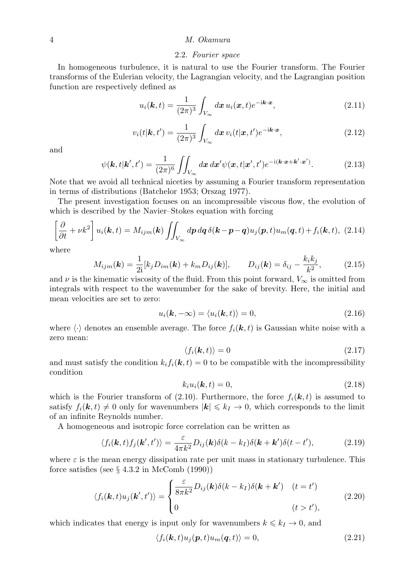#### 2.2. *Fourier space*

In homogeneous turbulence, it is natural to use the Fourier transform. The Fourier transforms of the Eulerian velocity, the Lagrangian velocity, and the Lagrangian position function are respectively defined as

$$
u_i(\mathbf{k},t) = \frac{1}{(2\pi)^3} \int_{V_{\infty}} d\mathbf{x} \, u_i(\mathbf{x},t) e^{-i\mathbf{k}\cdot\mathbf{x}},\tag{2.11}
$$

$$
v_i(t|\mathbf{k},t') = \frac{1}{(2\pi)^3} \int_{V_{\infty}} d\mathbf{x} \, v_i(t|\mathbf{x},t') e^{-i\mathbf{k}\cdot\mathbf{x}},\tag{2.12}
$$

and

$$
\psi(\mathbf{k},t|\mathbf{k}',t') = \frac{1}{(2\pi)^6} \iint_{V_{\infty}} dx \, dx' \psi(\mathbf{x},t|\mathbf{x}',t') e^{-i(\mathbf{k}\cdot\mathbf{x}+\mathbf{k}'\cdot\mathbf{x}')}.
$$
(2.13)

Note that we avoid all technical niceties by assuming a Fourier transform representation in terms of distributions (Batchelor 1953; Orszag 1977).

The present investigation focuses on an incompressible viscous flow, the evolution of which is described by the Navier–Stokes equation with forcing

$$
\left[\frac{\partial}{\partial t} + \nu k^2\right] u_i(\mathbf{k}, t) = M_{ijm}(\mathbf{k}) \iint_{V_{\infty}} d\mathbf{p} \, d\mathbf{q} \, \delta(\mathbf{k} - \mathbf{p} - \mathbf{q}) u_j(\mathbf{p}, t) u_m(\mathbf{q}, t) + f_i(\mathbf{k}, t), \tag{2.14}
$$

where

$$
M_{ijm}(\mathbf{k}) = \frac{1}{2i} [k_j D_{im}(\mathbf{k}) + k_m D_{ij}(\mathbf{k})], \qquad D_{ij}(\mathbf{k}) = \delta_{ij} - \frac{k_i k_j}{k^2}, \tag{2.15}
$$

and  $\nu$  is the kinematic viscosity of the fluid. From this point forward,  $V_{\infty}$  is omitted from integrals with respect to the wavenumber for the sake of brevity. Here, the initial and mean velocities are set to zero:

$$
u_i(\mathbf{k}, -\infty) = \langle u_i(\mathbf{k}, t) \rangle = 0, \tag{2.16}
$$

where  $\langle \cdot \rangle$  denotes an ensemble average. The force  $f_i(\mathbf{k}, t)$  is Gaussian white noise with a zero mean:

$$
\langle f_i(\mathbf{k},t) \rangle = 0 \tag{2.17}
$$

and must satisfy the condition  $k_i f_i(\mathbf{k}, t) = 0$  to be compatible with the incompressibility condition

$$
k_i u_i(\mathbf{k}, t) = 0,\t\t(2.18)
$$

which is the Fourier transform of  $(2.10)$ . Furthermore, the force  $f_i(\mathbf{k}, t)$  is assumed to satisfy  $f_i(\mathbf{k}, t) \neq 0$  only for wavenumbers  $|\mathbf{k}| \leq k_I \to 0$ , which corresponds to the limit of an infinite Reynolds number.

A homogeneous and isotropic force correlation can be written as

$$
\langle f_i(\mathbf{k},t) f_j(\mathbf{k}',t') \rangle = \frac{\varepsilon}{4\pi k^2} D_{ij}(\mathbf{k}) \delta(k-k_I) \delta(\mathbf{k}+\mathbf{k}') \delta(t-t'), \tag{2.19}
$$

where  $\varepsilon$  is the mean energy dissipation rate per unit mass in stationary turbulence. This force satisfies (see *§* 4.3.2 in McComb (1990))

$$
\langle f_i(\mathbf{k},t)u_j(\mathbf{k}',t')\rangle = \begin{cases} \frac{\varepsilon}{8\pi k^2}D_{ij}(\mathbf{k})\delta(k-k_I)\delta(\mathbf{k}+\mathbf{k}') & (t=t')\\ 0 & (t>t'), \end{cases} \tag{2.20}
$$

which indicates that energy is input only for wavenumbers  $k \leq k_I \to 0$ , and

$$
\langle f_i(\mathbf{k},t)u_j(\mathbf{p},t)u_m(\mathbf{q},t)\rangle = 0, \qquad (2.21)
$$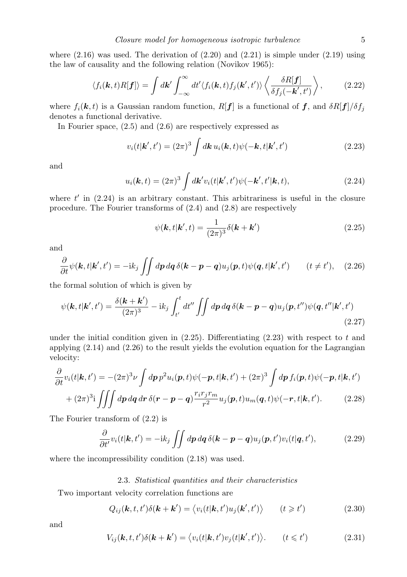where  $(2.16)$  was used. The derivation of  $(2.20)$  and  $(2.21)$  is simple under  $(2.19)$  using the law of causality and the following relation (Novikov 1965):

$$
\langle f_i(\mathbf{k},t)R[\mathbf{f}]\rangle = \int d\mathbf{k}' \int_{-\infty}^{\infty} dt' \langle f_i(\mathbf{k},t) f_j(\mathbf{k}',t')\rangle \left\langle \frac{\delta R[\mathbf{f}]}{\delta f_j(-\mathbf{k}',t')}\right\rangle, \tag{2.22}
$$

where  $f_i(\mathbf{k}, t)$  is a Gaussian random function,  $R[\mathbf{f}]$  is a functional of  $\mathbf{f}$ , and  $\delta R[\mathbf{f}]/\delta f_j$ denotes a functional derivative.

In Fourier space, (2.5) and (2.6) are respectively expressed as

$$
v_i(t|\mathbf{k}',t') = (2\pi)^3 \int d\mathbf{k} \, u_i(\mathbf{k},t) \psi(-\mathbf{k},t|\mathbf{k}',t')
$$
\n(2.23)

and

$$
u_i(\mathbf{k},t) = (2\pi)^3 \int d\mathbf{k}' v_i(t|\mathbf{k}',t') \psi(-\mathbf{k}',t'|\mathbf{k},t),
$$
\n(2.24)

where  $t'$  in  $(2.24)$  is an arbitrary constant. This arbitrariness is useful in the closure procedure. The Fourier transforms of (2.4) and (2.8) are respectively

$$
\psi(\mathbf{k},t|\mathbf{k}',t) = \frac{1}{(2\pi)^3} \delta(\mathbf{k} + \mathbf{k}') \tag{2.25}
$$

and

$$
\frac{\partial}{\partial t}\psi(\mathbf{k},t|\mathbf{k}',t') = -ik_j \iint dp \, dq \, \delta(\mathbf{k} - \mathbf{p} - \mathbf{q}) u_j(\mathbf{p},t) \psi(\mathbf{q},t|\mathbf{k}',t') \qquad (t \neq t'), \quad (2.26)
$$

the formal solution of which is given by

$$
\psi(\mathbf{k},t|\mathbf{k}',t') = \frac{\delta(\mathbf{k}+\mathbf{k}')}{(2\pi)^3} - i k_j \int_{t'}^t dt'' \iint dp \, dq \, \delta(\mathbf{k}-\mathbf{p}-\mathbf{q}) u_j(\mathbf{p},t'') \psi(\mathbf{q},t''|\mathbf{k}',t')
$$
\n(2.27)

under the initial condition given in (2.25). Differentiating (2.23) with respect to *t* and applying (2.14) and (2.26) to the result yields the evolution equation for the Lagrangian velocity:

$$
\frac{\partial}{\partial t}v_i(t|\mathbf{k},t') = -(2\pi)^3 \nu \int d\mathbf{p} p^2 u_i(\mathbf{p},t)\psi(-\mathbf{p},t|\mathbf{k},t') + (2\pi)^3 \int d\mathbf{p} f_i(\mathbf{p},t)\psi(-\mathbf{p},t|\mathbf{k},t') \n+ (2\pi)^3 \mathbf{i} \iiint d\mathbf{p} d\mathbf{q} d\mathbf{r} \delta(\mathbf{r}-\mathbf{p}-\mathbf{q}) \frac{r_i r_j r_m}{r^2} u_j(\mathbf{p},t) u_m(\mathbf{q},t)\psi(-\mathbf{r},t|\mathbf{k},t').
$$
\n(2.28)

The Fourier transform of (2.2) is

$$
\frac{\partial}{\partial t'}v_i(t|\mathbf{k},t') = -ik_j \iint dp \, dq \, \delta(\mathbf{k} - \mathbf{p} - \mathbf{q})u_j(\mathbf{p},t')v_i(t|\mathbf{q},t'),\tag{2.29}
$$

where the incompressibility condition (2.18) was used.

#### 2.3. *Statistical quantities and their characteristics*

Two important velocity correlation functions are

$$
Q_{ij}(\mathbf{k},t,t')\delta(\mathbf{k}+\mathbf{k}') = \langle v_i(t|\mathbf{k},t')u_j(\mathbf{k}',t') \rangle \qquad (t \geq t')
$$
 (2.30)

and

$$
V_{ij}(\mathbf{k},t,t')\delta(\mathbf{k}+\mathbf{k}') = \langle v_i(t|\mathbf{k},t')v_j(t|\mathbf{k}',t')\rangle. \qquad (t \leq t')
$$
 (2.31)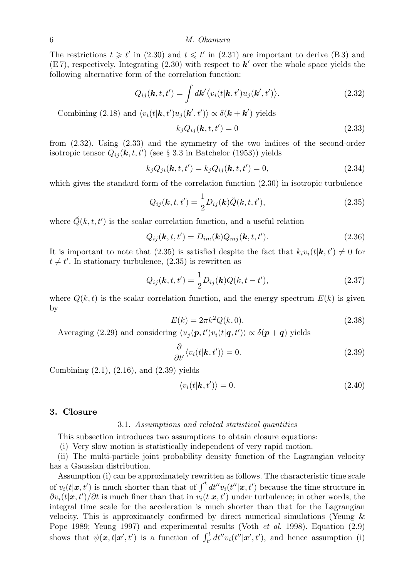The restrictions  $t \geq t'$  in (2.30) and  $t \leq t'$  in (2.31) are important to derive (B 3) and (E 7), respectively. Integrating (2.30) with respect to *k ′* over the whole space yields the following alternative form of the correlation function:

$$
Q_{ij}(\mathbf{k},t,t') = \int d\mathbf{k}' \langle v_i(t|\mathbf{k},t')u_j(\mathbf{k}',t') \rangle.
$$
 (2.32)

Combining (2.18) and  $\langle v_i(t|\mathbf{k}, t')v_j(\mathbf{k}', t')\rangle \propto \delta(\mathbf{k} + \mathbf{k}')$  yields

$$
k_j Q_{ij}(\mathbf{k}, t, t') = 0 \tag{2.33}
$$

from (2.32). Using (2.33) and the symmetry of the two indices of the second-order isotropic tensor *Qij* (*k, t, t′* ) (see *§* 3.3 in Batchelor (1953)) yields

$$
k_j Q_{ji}(\mathbf{k}, t, t') = k_j Q_{ij}(\mathbf{k}, t, t') = 0,
$$
\n(2.34)

which gives the standard form of the correlation function  $(2.30)$  in isotropic turbulence

$$
Q_{ij}(\mathbf{k}, t, t') = \frac{1}{2} D_{ij}(\mathbf{k}) \breve{Q}(k, t, t'),
$$
\n(2.35)

where  $\check{Q}(k, t, t')$  is the scalar correlation function, and a useful relation

$$
Q_{ij}(\mathbf{k},t,t') = D_{im}(\mathbf{k})Q_{mj}(\mathbf{k},t,t').
$$
\n(2.36)

It is important to note that  $(2.35)$  is satisfied despite the fact that  $k_i v_i(t|\mathbf{k}, t') \neq 0$  for  $t \neq t'$ . In stationary turbulence,  $(2.35)$  is rewritten as

$$
Q_{ij}(\mathbf{k}, t, t') = \frac{1}{2} D_{ij}(\mathbf{k}) Q(k, t - t'),
$$
\n(2.37)

where  $Q(k, t)$  is the scalar correlation function, and the energy spectrum  $E(k)$  is given by

$$
E(k) = 2\pi k^2 Q(k, 0).
$$
\n(2.38)

Averaging (2.29) and considering  $\langle u_j(\mathbf{p}, t')v_i(t|\mathbf{q}, t')\rangle \propto \delta(\mathbf{p} + \mathbf{q})$  yields

$$
\frac{\partial}{\partial t'} \langle v_i(t|\mathbf{k}, t') \rangle = 0. \tag{2.39}
$$

Combining (2.1), (2.16), and (2.39) yields

$$
\langle v_i(t|\mathbf{k},t')\rangle = 0. \tag{2.40}
$$

#### **3. Closure**

#### 3.1. *Assumptions and related statistical quantities*

This subsection introduces two assumptions to obtain closure equations:

(i) Very slow motion is statistically independent of very rapid motion.

(ii) The multi-particle joint probability density function of the Lagrangian velocity has a Gaussian distribution.

Assumption (i) can be approximately rewritten as follows. The characteristic time scale of  $v_i(t|\mathbf{x}, t')$  is much shorter than that of  $\int^t dt'' v_i(t''|\mathbf{x}, t')$  because the time structure in *∂vi*(*t|x, t′* )*/∂t* is much finer than that in *vi*(*t|x, t′* ) under turbulence; in other words, the integral time scale for the acceleration is much shorter than that for the Lagrangian velocity. This is approximately confirmed by direct numerical simulations (Yeung & Pope 1989; Yeung 1997) and experimental results (Voth *et al.* 1998). Equation (2.9) shows that  $\psi(\mathbf{x},t|\mathbf{x}',t')$  is a function of  $\int_{t'}^{t} dt'' v_i(t''|\mathbf{x}',t')$ , and hence assumption (i)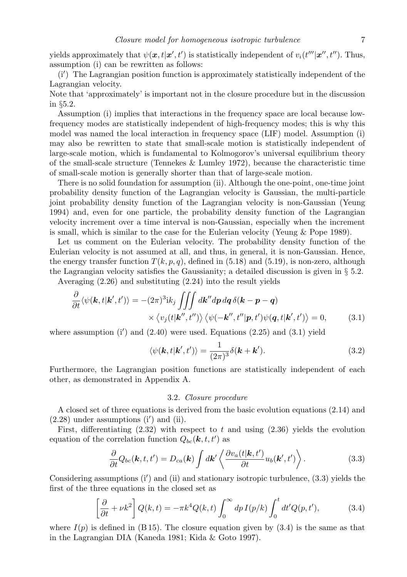yields approximately that  $\psi(\mathbf{x}, t | \mathbf{x}', t')$  is statistically independent of  $v_i(t'' | \mathbf{x}'', t'')$ . Thus, assumption (i) can be rewritten as follows:

(i*′* ) The Lagrangian position function is approximately statistically independent of the Lagrangian velocity.

Note that 'approximately' is important not in the closure procedure but in the discussion in *§*5.2.

Assumption (i) implies that interactions in the frequency space are local because lowfrequency modes are statistically independent of high-frequency modes; this is why this model was named the local interaction in frequency space (LIF) model. Assumption (i) may also be rewritten to state that small-scale motion is statistically independent of large-scale motion, which is fundamental to Kolmogorov's universal equilibrium theory of the small-scale structure (Tennekes & Lumley 1972), because the characteristic time of small-scale motion is generally shorter than that of large-scale motion.

There is no solid foundation for assumption (ii). Although the one-point, one-time joint probability density function of the Lagrangian velocity is Gaussian, the multi-particle joint probability density function of the Lagrangian velocity is non-Gaussian (Yeung 1994) and, even for one particle, the probability density function of the Lagrangian velocity increment over a time interval is non-Gaussian, especially when the increment is small, which is similar to the case for the Eulerian velocity (Yeung & Pope 1989).

Let us comment on the Eulerian velocity. The probability density function of the Eulerian velocity is not assumed at all, and thus, in general, it is non-Gaussian. Hence, the energy transfer function  $T(k, p, q)$ , defined in (5.18) and (5.19), is non-zero, although the Lagrangian velocity satisfies the Gaussianity; a detailed discussion is given in *§* 5.2.

Averaging (2.26) and substituting (2.24) into the result yields

$$
\frac{\partial}{\partial t} \langle \psi(\mathbf{k}, t | \mathbf{k}', t') \rangle = -(2\pi)^3 \mathrm{i} k_j \iiint dk'' dp dq \delta(\mathbf{k} - \mathbf{p} - \mathbf{q}) \times \langle v_j(t | \mathbf{k}'', t'') \rangle \langle \psi(-\mathbf{k}'', t'' | \mathbf{p}, t') \psi(\mathbf{q}, t | \mathbf{k}', t') \rangle = 0,
$$
\n(3.1)

where assumption (i') and (2.40) were used. Equations (2.25) and (3.1) yield

$$
\langle \psi(\mathbf{k}, t | \mathbf{k}', t') \rangle = \frac{1}{(2\pi)^3} \delta(\mathbf{k} + \mathbf{k}'). \tag{3.2}
$$

Furthermore, the Lagrangian position functions are statistically independent of each other, as demonstrated in Appendix A.

#### 3.2. *Closure procedure*

A closed set of three equations is derived from the basic evolution equations (2.14) and (2.28) under assumptions (i*′* ) and (ii).

First, differentiating  $(2.32)$  with respect to t and using  $(2.36)$  yields the evolution equation of the correlation function  $Q_{bc}(\mathbf{k}, t, t')$  as

$$
\frac{\partial}{\partial t}Q_{bc}(\mathbf{k},t,t') = D_{ca}(\mathbf{k}) \int d\mathbf{k}' \left\langle \frac{\partial v_a(t|\mathbf{k},t')}{\partial t} u_b(\mathbf{k}',t') \right\rangle.
$$
 (3.3)

Considering assumptions (i*′* ) and (ii) and stationary isotropic turbulence, (3.3) yields the first of the three equations in the closed set as

$$
\left[\frac{\partial}{\partial t} + \nu k^2\right]Q(k, t) = -\pi k^4 Q(k, t) \int_0^\infty dp \, I(p/k) \int_0^t dt' Q(p, t'),\tag{3.4}
$$

where  $I(p)$  is defined in (B 15). The closure equation given by  $(3.4)$  is the same as that in the Lagrangian DIA (Kaneda 1981; Kida & Goto 1997).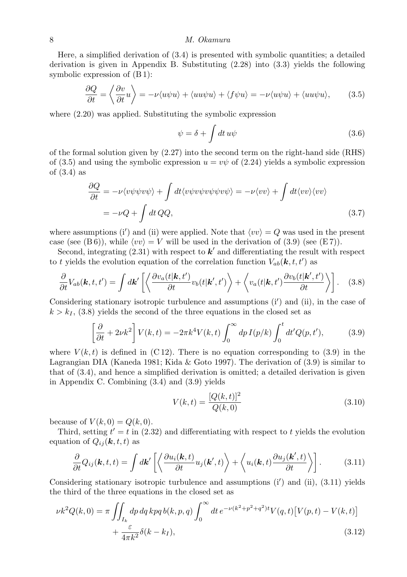Here, a simplified derivation of (3.4) is presented with symbolic quantities; a detailed derivation is given in Appendix B. Substituting (2.28) into (3.3) yields the following symbolic expression of (B 1):

$$
\frac{\partial Q}{\partial t} = \left\langle \frac{\partial v}{\partial t} u \right\rangle = -\nu \langle u\psi u \rangle + \langle uu\psi u \rangle + \langle f\psi u \rangle = -\nu \langle u\psi u \rangle + \langle uu\psi u \rangle, \tag{3.5}
$$

where  $(2.20)$  was applied. Substituting the symbolic expression

$$
\psi = \delta + \int dt \, u\psi \tag{3.6}
$$

of the formal solution given by  $(2.27)$  into the second term on the right-hand side (RHS) of (3.5) and using the symbolic expression  $u = v\psi$  of (2.24) yields a symbolic expression of (3.4) as

$$
\frac{\partial Q}{\partial t} = -\nu \langle v\psi\psi v\psi \rangle + \int dt \langle v\psi v\psi v\psi\psi v\psi \rangle = -\nu \langle v v \rangle + \int dt \langle v v \rangle \langle v v \rangle
$$
  
=  $-\nu Q + \int dt QQ,$  (3.7)

where assumptions (i<sup>'</sup>) and (ii) were applied. Note that  $\langle v v \rangle = Q$  was used in the present case (see (B6)), while  $\langle v v \rangle = V$  will be used in the derivation of (3.9) (see (E7)).

Second, integrating (2.31) with respect to *k ′* and differentiating the result with respect to *t* yields the evolution equation of the correlation function  $V_{ab}(\mathbf{k}, t, t')$  as

$$
\frac{\partial}{\partial t}V_{ab}(\mathbf{k},t,t') = \int d\mathbf{k}' \left[ \left\langle \frac{\partial v_a(t|\mathbf{k},t')}{\partial t} v_b(t|\mathbf{k}',t') \right\rangle + \left\langle v_a(t|\mathbf{k},t') \frac{\partial v_b(t|\mathbf{k}',t')}{\partial t} \right\rangle \right].
$$
 (3.8)

Considering stationary isotropic turbulence and assumptions (i*′* ) and (ii), in the case of  $k > k_I$ , (3.8) yields the second of the three equations in the closed set as

$$
\left[\frac{\partial}{\partial t} + 2\nu k^2\right] V(k,t) = -2\pi k^4 V(k,t) \int_0^\infty dp \, I(p/k) \int_0^t dt' Q(p,t'),\tag{3.9}
$$

where  $V(k, t)$  is defined in (C12). There is no equation corresponding to (3.9) in the Lagrangian DIA (Kaneda 1981; Kida & Goto 1997). The derivation of (3.9) is similar to that of (3.4), and hence a simplified derivation is omitted; a detailed derivation is given in Appendix C. Combining (3.4) and (3.9) yields

$$
V(k,t) = \frac{[Q(k,t)]^2}{Q(k,0)}
$$
\n(3.10)

because of  $V(k, 0) = Q(k, 0)$ .

Third, setting  $t' = t$  in (2.32) and differentiating with respect to  $t$  yields the evolution equation of  $Q_{ij}(\mathbf{k}, t, t)$  as

$$
\frac{\partial}{\partial t}Q_{ij}(\mathbf{k},t,t) = \int d\mathbf{k}' \left[ \left\langle \frac{\partial u_i(\mathbf{k},t)}{\partial t} u_j(\mathbf{k}',t) \right\rangle + \left\langle u_i(\mathbf{k},t) \frac{\partial u_j(\mathbf{k}',t)}{\partial t} \right\rangle \right].
$$
 (3.11)

Considering stationary isotropic turbulence and assumptions (i*′* ) and (ii), (3.11) yields the third of the three equations in the closed set as

$$
\nu k^2 Q(k,0) = \pi \iint_{I_k} dp \, dq \, kpq \, b(k,p,q) \int_0^\infty dt \, e^{-\nu (k^2 + p^2 + q^2)t} V(q,t) \left[ V(p,t) - V(k,t) \right] + \frac{\varepsilon}{4\pi k^2} \delta(k - k_I), \tag{3.12}
$$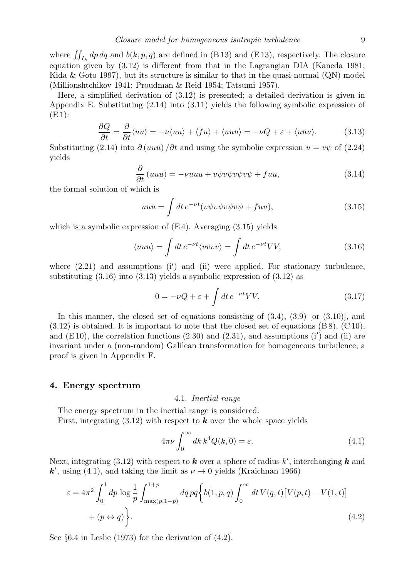Here, a simplified derivation of (3.12) is presented; a detailed derivation is given in Appendix E. Substituting (2.14) into (3.11) yields the following symbolic expression of  $(E_1)$ :

$$
\frac{\partial Q}{\partial t} = \frac{\partial}{\partial t} \langle uu \rangle = -\nu \langle uu \rangle + \langle fu \rangle + \langle uuu \rangle = -\nu Q + \varepsilon + \langle uuu \rangle. \tag{3.13}
$$

Substituting (2.14) into  $\partial (uuu)/\partial t$  and using the symbolic expression  $u = v\psi$  of (2.24) yields

$$
\frac{\partial}{\partial t} (uuu) = -vuuu + v\psi v\psi v\psi v\psi + fuu,
$$
\n(3.14)

the formal solution of which is

$$
uuu = \int dt e^{-\nu t} (v\psi v\psi v\psi v\psi + fuu), \qquad (3.15)
$$

which is a symbolic expression of  $(E_4)$ . Averaging  $(3.15)$  yields

$$
\langle uuu \rangle = \int dt \, e^{-\nu t} \langle vvvv \rangle = \int dt \, e^{-\nu t} VV,\tag{3.16}
$$

where  $(2.21)$  and assumptions  $(i')$  and  $(ii)$  were applied. For stationary turbulence, substituting (3.16) into (3.13) yields a symbolic expression of (3.12) as

$$
0 = -\nu Q + \varepsilon + \int dt \, e^{-\nu t} V V. \tag{3.17}
$$

In this manner, the closed set of equations consisting of  $(3.4)$ ,  $(3.9)$  [or  $(3.10)$ ], and  $(3.12)$  is obtained. It is important to note that the closed set of equations  $(B 8)$ ,  $(C 10)$ , and (E 10), the correlation functions (2.30) and (2.31), and assumptions (i*′* ) and (ii) are invariant under a (non-random) Galilean transformation for homogeneous turbulence; a proof is given in Appendix F.

#### **4. Energy spectrum**

#### 4.1. *Inertial range*

The energy spectrum in the inertial range is considered. First, integrating  $(3.12)$  with respect to **k** over the whole space yields

$$
4\pi\nu \int_0^\infty dk \, k^4 Q(k,0) = \varepsilon. \tag{4.1}
$$

Next, integrating (3.12) with respect to *k* over a sphere of radius *k ′* , interchanging *k* and  $k'$ , using (4.1), and taking the limit as  $\nu \to 0$  yields (Kraichnan 1966)

$$
\varepsilon = 4\pi^2 \int_0^1 dp \log \frac{1}{p} \int_{\max(p, 1-p)}^{1+p} dq \, pq \left\{ b(1, p, q) \int_0^\infty dt \, V(q, t) \left[ V(p, t) - V(1, t) \right] + (p \leftrightarrow q) \right\}.
$$
\n(4.2)

See *§*6.4 in Leslie (1973) for the derivation of (4.2).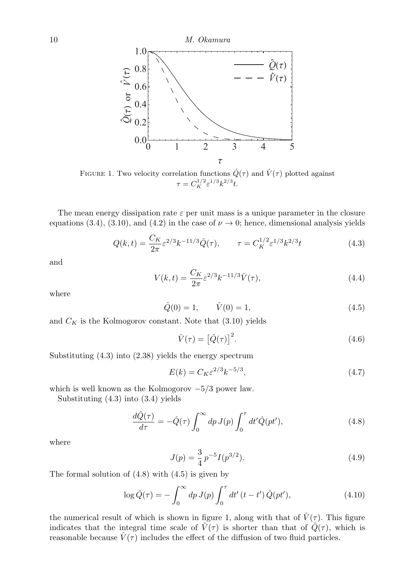

FIGURE 1. Two velocity correlation functions  $\hat{Q}(\tau)$  and  $\hat{V}(\tau)$  plotted against  $\tau = C_K^{1/2} \varepsilon^{1/3} k^{2/3} t.$ 

The mean energy dissipation rate  $\varepsilon$  per unit mass is a unique parameter in the closure equations (3.4), (3.10), and (4.2) in the case of  $\nu \to 0$ ; hence, dimensional analysis yields

$$
Q(k,t) = \frac{C_K}{2\pi} \varepsilon^{2/3} k^{-11/3} \hat{Q}(\tau), \qquad \tau = C_K^{1/2} \varepsilon^{1/3} k^{2/3} t \tag{4.3}
$$

and

$$
V(k,t) = \frac{C_K}{2\pi} \varepsilon^{2/3} k^{-11/3} \hat{V}(\tau),
$$
\n(4.4)

where

$$
\hat{Q}(0) = 1, \qquad \hat{V}(0) = 1,\tag{4.5}
$$

and  $C_K$  is the Kolmogorov constant. Note that  $(3.10)$  yields

$$
\hat{V}(\tau) = \left[\hat{Q}(\tau)\right]^2. \tag{4.6}
$$

Substituting (4.3) into (2.38) yields the energy spectrum

$$
E(k) = C_K \varepsilon^{2/3} k^{-5/3},
$$
\n(4.7)

which is well known as the Kolmogorov *−*5*/*3 power law.

Substituting (4.3) into (3.4) yields

$$
\frac{d\hat{Q}(\tau)}{d\tau} = -\hat{Q}(\tau) \int_0^\infty dp J(p) \int_0^\tau dt' \hat{Q}(pt'),\tag{4.8}
$$

where

$$
J(p) = \frac{3}{4} p^{-5} I(p^{3/2}).
$$
\n(4.9)

The formal solution of  $(4.8)$  with  $(4.5)$  is given by

$$
\log \hat{Q}(\tau) = -\int_0^\infty dp \, J(p) \int_0^\tau dt' \, (t - t') \, \hat{Q}(pt'), \tag{4.10}
$$

the numerical result of which is shown in figure 1, along with that of  $\hat{V}(\tau)$ . This figure indicates that the integral time scale of  $\hat{V}(\tau)$  is shorter than that of  $\hat{Q}(\tau)$ , which is reasonable because  $\hat{V}(\tau)$  includes the effect of the diffusion of two fluid particles.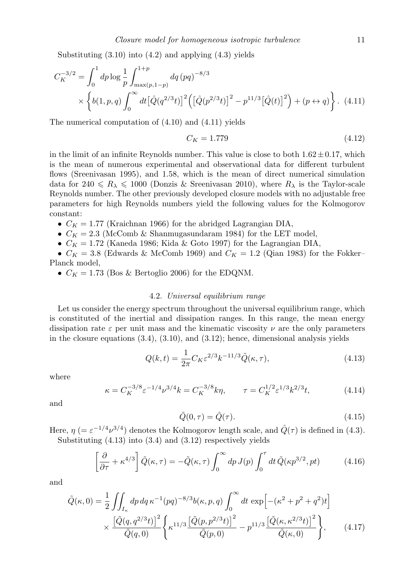Substituting  $(3.10)$  into  $(4.2)$  and applying  $(4.3)$  yields

$$
C_K^{-3/2} = \int_0^1 dp \log \frac{1}{p} \int_{\max(p, 1-p)}^{1+p} dq (pq)^{-8/3}
$$
  
 
$$
\times \left\{ b(1, p, q) \int_0^\infty dt \left[ \hat{Q}(q^{2/3}t) \right]^2 \left( \left[ \hat{Q}(p^{2/3}t) \right]^2 - p^{11/3} \left[ \hat{Q}(t) \right]^2 \right) + (p \leftrightarrow q) \right\}. \tag{4.11}
$$

The numerical computation of (4.10) and (4.11) yields

$$
C_K = 1.779\tag{4.12}
$$

in the limit of an infinite Reynolds number. This value is close to both  $1.62 \pm 0.17$ , which is the mean of numerous experimental and observational data for different turbulent flows (Sreenivasan 1995), and 1.58, which is the mean of direct numerical simulation data for  $240 \le R_{\lambda} \le 1000$  (Donzis & Sreenivasan 2010), where  $R_{\lambda}$  is the Taylor-scale Reynolds number. The other previously developed closure models with no adjustable free parameters for high Reynolds numbers yield the following values for the Kolmogorov constant:

•  $C_K = 1.77$  (Kraichnan 1966) for the abridged Lagrangian DIA,

•  $C_K = 2.3$  (McComb & Shanmugasundaram 1984) for the LET model,

•  $C_K = 1.72$  (Kaneda 1986; Kida & Goto 1997) for the Lagrangian DIA,

•  $C_K = 3.8$  (Edwards & McComb 1969) and  $C_K = 1.2$  (Qian 1983) for the Fokker– Planck model,

•  $C_K = 1.73$  (Bos & Bertoglio 2006) for the EDQNM.

#### 4.2. *Universal equilibrium range*

Let us consider the energy spectrum throughout the universal equilibrium range, which is constituted of the inertial and dissipation ranges. In this range, the mean energy dissipation rate  $\varepsilon$  per unit mass and the kinematic viscosity  $\nu$  are the only parameters in the closure equations  $(3.4)$ ,  $(3.10)$ , and  $(3.12)$ ; hence, dimensional analysis yields

$$
Q(k,t) = \frac{1}{2\pi} C_K \varepsilon^{2/3} k^{-11/3} \tilde{Q}(\kappa, \tau),
$$
\n(4.13)

where

$$
\kappa = C_K^{-3/8} \varepsilon^{-1/4} \nu^{3/4} k = C_K^{-3/8} k \eta, \qquad \tau = C_K^{1/2} \varepsilon^{1/3} k^{2/3} t,\tag{4.14}
$$

and

$$
\tilde{Q}(0,\tau) = \hat{Q}(\tau). \tag{4.15}
$$

Here,  $\eta$  (=  $\varepsilon^{-1/4} \nu^{3/4}$ ) denotes the Kolmogorov length scale, and  $\hat{Q}(\tau)$  is defined in (4.3). Substituting  $(4.13)$  into  $(3.4)$  and  $(3.12)$  respectively yields

$$
\left[\frac{\partial}{\partial \tau} + \kappa^{4/3}\right] \tilde{Q}(\kappa, \tau) = -\tilde{Q}(\kappa, \tau) \int_0^\infty dp \, J(p) \int_0^\tau dt \, \tilde{Q}(\kappa p^{3/2}, pt) \tag{4.16}
$$

and

$$
\tilde{Q}(\kappa,0) = \frac{1}{2} \iint_{I_{\kappa}} dp \, dq \, \kappa^{-1}(pq)^{-8/3} b(\kappa,p,q) \int_0^{\infty} dt \, \exp\left[-(\kappa^2 + p^2 + q^2)t\right] \times \frac{\left[\tilde{Q}(q,q^{2/3}t)\right]^2}{\tilde{Q}(q,0)} \left\{ \kappa^{11/3} \frac{\left[\tilde{Q}(p,p^{2/3}t)\right]^2}{\tilde{Q}(p,0)} - p^{11/3} \frac{\left[\tilde{Q}(\kappa,\kappa^{2/3}t)\right]^2}{\tilde{Q}(\kappa,0)} \right\},\tag{4.17}
$$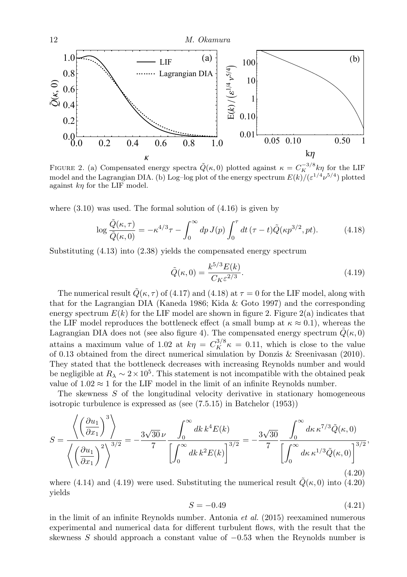

FIGURE 2. (a) Compensated energy spectra  $\tilde{Q}(\kappa, 0)$  plotted against  $\kappa = C_K^{-3/8} k\eta$  for the LIF model and the Lagrangian DIA. (b) Log-log plot of the energy spectrum  $E(k)/(\varepsilon^{1/4}\nu^{5/4})$  plotted against *kη* for the LIF model.

where  $(3.10)$  was used. The formal solution of  $(4.16)$  is given by

$$
\log \frac{\tilde{Q}(\kappa,\tau)}{\tilde{Q}(\kappa,0)} = -\kappa^{4/3}\tau - \int_0^\infty dp \, J(p) \int_0^\tau dt \, (\tau - t) \tilde{Q}(\kappa p^{3/2}, pt). \tag{4.18}
$$

Substituting (4.13) into (2.38) yields the compensated energy spectrum

$$
\tilde{Q}(\kappa,0) = \frac{k^{5/3}E(k)}{C_K \varepsilon^{2/3}}.
$$
\n(4.19)

The numerical result  $\tilde{Q}(\kappa, \tau)$  of (4.17) and (4.18) at  $\tau = 0$  for the LIF model, along with that for the Lagrangian DIA (Kaneda 1986; Kida & Goto 1997) and the corresponding energy spectrum  $E(k)$  for the LIF model are shown in figure 2. Figure 2(a) indicates that the LIF model reproduces the bottleneck effect (a small bump at  $\kappa \approx 0.1$ ), whereas the Lagrangian DIA does not (see also figure 4). The compensated energy spectrum  $\tilde{Q}(\kappa, 0)$ attains a maximum value of 1.02 at  $k\eta = C_K^{3/8} \kappa = 0.11$ , which is close to the value of 0.13 obtained from the direct numerical simulation by Donzis & Sreenivasan (2010). They stated that the bottleneck decreases with increasing Reynolds number and would be negligible at  $R_{\lambda} \sim 2 \times 10^5$ . This statement is not incompatible with the obtained peak value of  $1.02 \approx 1$  for the LIF model in the limit of an infinite Reynolds number.

The skewness *S* of the longitudinal velocity derivative in stationary homogeneous isotropic turbulence is expressed as (see (7.5.15) in Batchelor (1953))

$$
S = \frac{\left\langle \left(\frac{\partial u_1}{\partial x_1}\right)^3 \right\rangle}{\left\langle \left(\frac{\partial u_1}{\partial x_1}\right)^2 \right\rangle^{3/2}} = -\frac{3\sqrt{30}\,\nu}{7} \frac{\int_0^\infty dk \, k^4 E(k)}{\left[\int_0^\infty dk \, k^2 E(k)\right]^{3/2}} = -\frac{3\sqrt{30}}{7} \frac{\int_0^\infty d\kappa \, \kappa^{7/3} \tilde{Q}(\kappa, 0)}{\left[\int_0^\infty d\kappa \, \kappa^{1/3} \tilde{Q}(\kappa, 0)\right]^{3/2}},\tag{4.20}
$$

where (4.14) and (4.19) were used. Substituting the numerical result  $\tilde{Q}(\kappa, 0)$  into (4.20) yields

$$
S = -0.49\tag{4.21}
$$

in the limit of an infinite Reynolds number. Antonia *et al.* (2015) reexamined numerous experimental and numerical data for different turbulent flows, with the result that the skewness *S* should approach a constant value of *−*0*.*53 when the Reynolds number is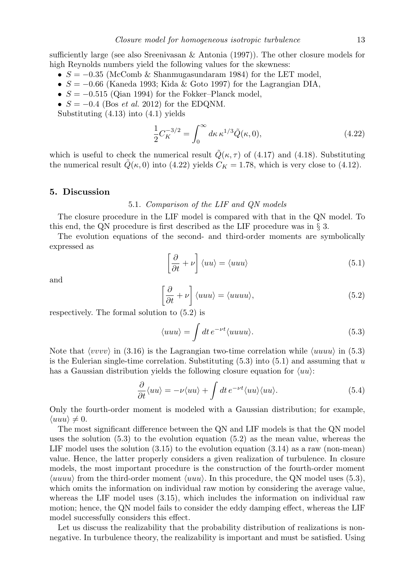sufficiently large (see also Sreenivasan & Antonia  $(1997)$ ). The other closure models for high Reynolds numbers yield the following values for the skewness:

- *• S* = *−*0*.*35 (McComb & Shanmugasundaram 1984) for the LET model,
- *• S* = *−*0*.*66 (Kaneda 1993; Kida & Goto 1997) for the Lagrangian DIA,
- *• S* = *−*0*.*515 (Qian 1994) for the Fokker–Planck model,
- *• S* = *−*0*.*4 (Bos *et al.* 2012) for the EDQNM.

Substituting (4.13) into (4.1) yields

$$
\frac{1}{2}C_K^{-3/2} = \int_0^\infty d\kappa \,\kappa^{1/3} \tilde{Q}(\kappa, 0),\tag{4.22}
$$

which is useful to check the numerical result  $\dot{Q}(\kappa, \tau)$  of (4.17) and (4.18). Substituting the numerical result  $\tilde{Q}(\kappa, 0)$  into (4.22) yields  $C_K = 1.78$ , which is very close to (4.12).

#### **5. Discussion**

#### 5.1. *Comparison of the LIF and QN models*

The closure procedure in the LIF model is compared with that in the QN model. To this end, the QN procedure is first described as the LIF procedure was in *§* 3.

The evolution equations of the second- and third-order moments are symbolically expressed as

$$
\left[\frac{\partial}{\partial t} + \nu\right] \langle uu \rangle = \langle uuu \rangle \tag{5.1}
$$

and

$$
\left[\frac{\partial}{\partial t} + \nu\right] \langle uuu \rangle = \langle uuuu \rangle,\tag{5.2}
$$

respectively. The formal solution to (5.2) is

$$
\langle uuu \rangle = \int dt \, e^{-\nu t} \langle uuuu \rangle. \tag{5.3}
$$

Note that *⟨vvvv⟩* in (3.16) is the Lagrangian two-time correlation while *⟨uuuu⟩* in (5.3) is the Eulerian single-time correlation. Substituting (5.3) into (5.1) and assuming that *u* has a Gaussian distribution yields the following closure equation for *⟨uu⟩*:

$$
\frac{\partial}{\partial t} \langle uu \rangle = -\nu \langle uu \rangle + \int dt \, e^{-\nu t} \langle uu \rangle \langle uu \rangle. \tag{5.4}
$$

Only the fourth-order moment is modeled with a Gaussian distribution; for example,  $\langle u u u \rangle \neq 0.$ 

The most significant difference between the QN and LIF models is that the QN model uses the solution  $(5.3)$  to the evolution equation  $(5.2)$  as the mean value, whereas the LIF model uses the solution  $(3.15)$  to the evolution equation  $(3.14)$  as a raw (non-mean) value. Hence, the latter properly considers a given realization of turbulence. In closure models, the most important procedure is the construction of the fourth-order moment *⟨uuuu⟩* from the third-order moment *⟨uuu⟩*. In this procedure, the QN model uses (5.3), which omits the information on individual raw motion by considering the average value, whereas the LIF model uses  $(3.15)$ , which includes the information on individual raw motion; hence, the QN model fails to consider the eddy damping effect, whereas the LIF model successfully considers this effect.

Let us discuss the realizability that the probability distribution of realizations is nonnegative. In turbulence theory, the realizability is important and must be satisfied. Using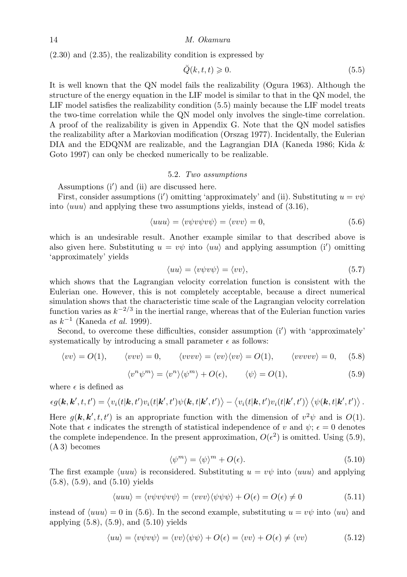(2.30) and (2.35), the realizability condition is expressed by

$$
\breve{Q}(k,t,t) \geqslant 0. \tag{5.5}
$$

It is well known that the QN model fails the realizability (Ogura 1963). Although the structure of the energy equation in the LIF model is similar to that in the QN model, the LIF model satisfies the realizability condition (5.5) mainly because the LIF model treats the two-time correlation while the QN model only involves the single-time correlation. A proof of the realizability is given in Appendix G. Note that the QN model satisfies the realizability after a Markovian modification (Orszag 1977). Incidentally, the Eulerian DIA and the EDQNM are realizable, and the Lagrangian DIA (Kaneda 1986; Kida & Goto 1997) can only be checked numerically to be realizable.

#### 5.2. *Two assumptions*

Assumptions (i*′* ) and (ii) are discussed here.

First, consider assumptions (i') omitting 'approximately' and (ii). Substituting  $u = v\psi$ into *⟨uuu⟩* and applying these two assumptions yields, instead of (3.16),

$$
\langle uuu \rangle = \langle v\psi v\psi v\psi \rangle = \langle vvv \rangle = 0, \tag{5.6}
$$

which is an undesirable result. Another example similar to that described above is also given here. Substituting  $u = v\psi$  into  $\langle uu \rangle$  and applying assumption (i<sup>*'*</sup>) omitting 'approximately' yields

$$
\langle uu \rangle = \langle v\psi v\psi \rangle = \langle vv \rangle, \tag{5.7}
$$

which shows that the Lagrangian velocity correlation function is consistent with the Eulerian one. However, this is not completely acceptable, because a direct numerical simulation shows that the characteristic time scale of the Lagrangian velocity correlation function varies as  $k^{-2/3}$  in the inertial range, whereas that of the Eulerian function varies as *k −*1 (Kaneda *et al.* 1999).

Second, to overcome these difficulties, consider assumption (i*′* ) with 'approximately' systematically by introducing a small parameter  $\epsilon$  as follows:

$$
\langle vv \rangle = O(1), \qquad \langle vvv \rangle = 0, \qquad \langle vvvv \rangle = \langle vv \rangle \langle vv \rangle = O(1), \qquad \langle vvvvv \rangle = 0, \qquad (5.8)
$$

$$
\langle v^n \psi^m \rangle = \langle v^n \rangle \langle \psi^m \rangle + O(\epsilon), \qquad \langle \psi \rangle = O(1), \tag{5.9}
$$

where  $\epsilon$  is defined as

$$
\epsilon g(\mathbf{k},\mathbf{k}',t,t') = \left\langle v_i(t|\mathbf{k},t')v_i(t|\mathbf{k}',t')\psi(\mathbf{k},t|\mathbf{k}',t')\right\rangle - \left\langle v_i(t|\mathbf{k},t')v_i(t|\mathbf{k}',t')\right\rangle \left\langle \psi(\mathbf{k},t|\mathbf{k}',t')\right\rangle.
$$

Here  $g(\mathbf{k}, \mathbf{k}', t, t')$  is an appropriate function with the dimension of  $v^2\psi$  and is  $O(1)$ . Note that  $\epsilon$  indicates the strength of statistical independence of *v* and  $\psi$ ;  $\epsilon = 0$  denotes the complete independence. In the present approximation,  $O(\epsilon^2)$  is omitted. Using (5.9), (A 3) becomes

$$
\langle \psi^m \rangle = \langle \psi \rangle^m + O(\epsilon). \tag{5.10}
$$

The first example  $\langle u u u \rangle$  is reconsidered. Substituting  $u = v \psi$  into  $\langle u u u \rangle$  and applying (5.8), (5.9), and (5.10) yields

$$
\langle uuu \rangle = \langle v\psi v\psi v\psi \rangle = \langle vvv \rangle \langle \psi\psi\psi \rangle + O(\epsilon) = O(\epsilon) \neq 0 \tag{5.11}
$$

instead of  $\langle u u u \rangle = 0$  in (5.6). In the second example, substituting  $u = v\psi$  into  $\langle u u \rangle$  and applying (5.8), (5.9), and (5.10) yields

$$
\langle uu \rangle = \langle v\psi v\psi \rangle = \langle vv \rangle \langle \psi \psi \rangle + O(\epsilon) = \langle vv \rangle + O(\epsilon) \neq \langle vv \rangle \tag{5.12}
$$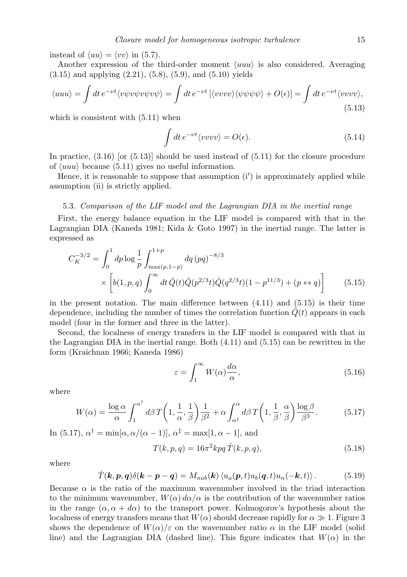instead of  $\langle uu \rangle = \langle vv \rangle$  in (5.7).

Another expression of the third-order moment *⟨uuu⟩* is also considered. Averaging  $(3.15)$  and applying  $(2.21)$ ,  $(5.8)$ ,  $(5.9)$ , and  $(5.10)$  yields

$$
\langle uuu \rangle = \int dt \, e^{-\nu t} \langle v\psi v\psi v\psi v\psi \rangle = \int dt \, e^{-\nu t} \left[ \langle v v v v \rangle \langle \psi \psi \psi \psi \rangle + O(\epsilon) \right] = \int dt \, e^{-\nu t} \langle v v v v \rangle,
$$
\n(5.13)

which is consistent with  $(5.11)$  when

$$
\int dt \, e^{-\nu t} \langle v v v v \rangle = O(\epsilon). \tag{5.14}
$$

In practice,  $(3.16)$  [or  $(5.13)$ ] should be used instead of  $(5.11)$  for the closure procedure of *⟨uuu⟩* because (5.11) gives no useful information.

Hence, it is reasonable to suppose that assumption (i*′* ) is approximately applied while assumption (ii) is strictly applied.

#### 5.3. *Comparison of the LIF model and the Lagrangian DIA in the inertial range*

First, the energy balance equation in the LIF model is compared with that in the Lagrangian DIA (Kaneda 1981; Kida & Goto 1997) in the inertial range. The latter is expressed as

$$
C_K^{-3/2} = \int_0^1 dp \log \frac{1}{p} \int_{\max(p, 1-p)}^{1+p} dq (pq)^{-8/3}
$$
  
 
$$
\times \left[ b(1, p, q) \int_0^\infty dt \, \hat{Q}(t) \hat{Q}(p^{2/3}t) \hat{Q}(q^{2/3}t) (1 - p^{11/3}) + (p \leftrightarrow q) \right]
$$
(5.15)

in the present notation. The main difference between  $(4.11)$  and  $(5.15)$  is their time dependence, including the number of times the correlation function  $Q(t)$  appears in each model (four in the former and three in the latter).

Second, the localness of energy transfers in the LIF model is compared with that in the Lagrangian DIA in the inertial range. Both (4.11) and (5.15) can be rewritten in the form (Kraichnan 1966; Kaneda 1986)

$$
\varepsilon = \int_{1}^{\infty} W(\alpha) \frac{d\alpha}{\alpha},\tag{5.16}
$$

where

$$
W(\alpha) = \frac{\log \alpha}{\alpha} \int_1^{\alpha^{\dagger}} d\beta \, T\left(1, \frac{1}{\alpha}, \frac{1}{\beta}\right) \frac{1}{\beta^2} + \alpha \int_{\alpha^{\ddagger}}^{\alpha} d\beta \, T\left(1, \frac{1}{\beta}, \frac{\alpha}{\beta}\right) \frac{\log \beta}{\beta^3}.
$$
 (5.17)

In (5.17),  $\alpha^{\dagger} = \min[\alpha, \alpha/(\alpha - 1)], \alpha^{\dagger} = \max[1, \alpha - 1],$  and

$$
T(k, p, q) = 16\pi^2 k p q \hat{T}(k, p, q),
$$
\n(5.18)

where

$$
\hat{T}(\boldsymbol{k},\boldsymbol{p},\boldsymbol{q})\delta(\boldsymbol{k}-\boldsymbol{p}-\boldsymbol{q})=M_{nab}(\boldsymbol{k})\left\langle u_a(\boldsymbol{p},t)u_b(\boldsymbol{q},t)u_n(-\boldsymbol{k},t)\right\rangle. \hspace{1cm} (5.19)
$$

Because  $\alpha$  is the ratio of the maximum wavenumber involved in the triad interaction to the minimum wavenumber,  $W(\alpha) d\alpha/\alpha$  is the contribution of the wavenumber ratios in the range  $(\alpha, \alpha + d\alpha)$  to the transport power. Kolmogorov's hypothesis about the localness of energy transfers means that  $W(\alpha)$  should decrease rapidly for  $\alpha \gg 1$ . Figure 3 shows the dependence of  $W(\alpha)/\varepsilon$  on the wavenumber ratio  $\alpha$  in the LIF model (solid line) and the Lagrangian DIA (dashed line). This figure indicates that  $W(\alpha)$  in the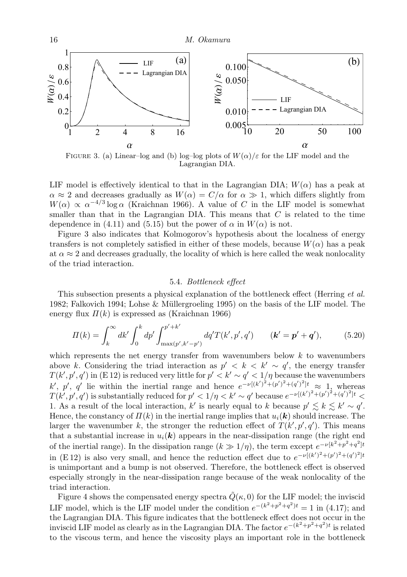

FIGURE 3. (a) Linear-log and (b) log-log plots of  $W(\alpha)/\varepsilon$  for the LIF model and the Lagrangian DIA.

LIF model is effectively identical to that in the Lagrangian DIA;  $W(\alpha)$  has a peak at  $\alpha \approx 2$  and decreases gradually as  $W(\alpha) = C/\alpha$  for  $\alpha \gg 1$ , which differs slightly from  $W(\alpha) \propto \alpha^{-4/3} \log \alpha$  (Kraichnan 1966). A value of *C* in the LIF model is somewhat smaller than that in the Lagrangian DIA. This means that *C* is related to the time dependence in (4.11) and (5.15) but the power of  $\alpha$  in  $W(\alpha)$  is not.

Figure 3 also indicates that Kolmogorov's hypothesis about the localness of energy transfers is not completely satisfied in either of these models, because  $W(\alpha)$  has a peak at  $\alpha \approx 2$  and decreases gradually, the locality of which is here called the weak nonlocality of the triad interaction.

#### 5.4. *Bottleneck effect*

This subsection presents a physical explanation of the bottleneck effect (Herring *et al.* 1982; Falkovich 1994; Lohse & Müllergroeling 1995) on the basis of the LIF model. The energy flux  $\Pi(k)$  is expressed as (Kraichnan 1966)

$$
\Pi(k) = \int_{k}^{\infty} dk' \int_{0}^{k} dp' \int_{\max(p', k'-p')}^{p'+k'} dq' T(k', p', q') \qquad (\mathbf{k}' = \mathbf{p}' + \mathbf{q}'), \tag{5.20}
$$

which represents the net energy transfer from wavenumbers below *k* to wavenumbers above *k*. Considering the triad interaction as  $p' < k < k' \sim q'$ , the energy transfer  $T(k', p', q')$  in (E 12) is reduced very little for  $p' < k' \sim q' < 1/\eta$  because the wavenumbers  $k'$ , *p*', *q*' lie within the inertial range and hence  $e^{-\nu[(k')^2 + (p')^2 + (q')^2]t} \approx 1$ , whereas  $T(k',p',q')$  is substantially reduced for  $p' < 1/\eta < k' \sim q'$  because  $e^{-\nu[(k')^2 + (p')^2 + (q')^2]t} <$ 1. As a result of the local interaction,  $k'$  is nearly equal to  $k$  because  $p' \leq k \leq k' \sim q'$ . Hence, the constancy of  $\Pi(k)$  in the inertial range implies that  $u_i(k)$  should increase. The larger the wavenumber *k*, the stronger the reduction effect of  $T(k', p', q')$ . This means that a substantial increase in  $u_i(\mathbf{k})$  appears in the near-dissipation range (the right end of the inertial range). In the dissipation range  $(k \gg 1/\eta)$ , the term except  $e^{-\nu[k^2 + p^2 + q^2]t}$ in (E 12) is also very small, and hence the reduction effect due to  $e^{-\nu[(k')^2 + (p')^2 + (q')^2]t}$ is unimportant and a bump is not observed. Therefore, the bottleneck effect is observed especially strongly in the near-dissipation range because of the weak nonlocality of the triad interaction.

Figure 4 shows the compensated energy spectra  $\tilde{Q}(\kappa, 0)$  for the LIF model; the inviscid LIF model, which is the LIF model under the condition  $e^{-(k^2+p^2+q^2)t} = 1$  in (4.17); and the Lagrangian DIA. This figure indicates that the bottleneck effect does not occur in the inviscid LIF model as clearly as in the Lagrangian DIA. The factor  $e^{-(k^2+p^2+q^2)t}$  is related to the viscous term, and hence the viscosity plays an important role in the bottleneck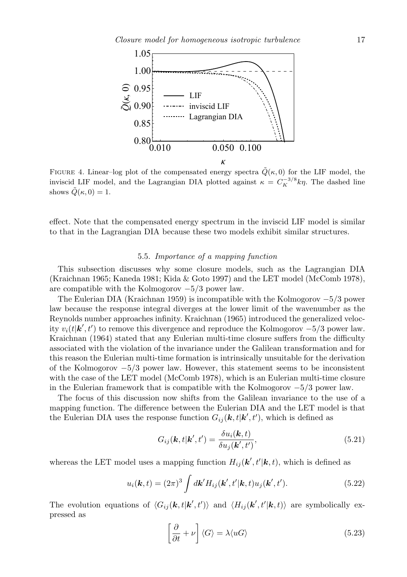

FIGURE 4. Linear–log plot of the compensated energy spectra  $\tilde{Q}(\kappa, 0)$  for the LIF model, the inviscid LIF model, and the Lagrangian DIA plotted against  $\kappa = C_K^{-3/8} k \eta$ . The dashed line shows  $\tilde{Q}(\kappa, 0) = 1$ .

effect. Note that the compensated energy spectrum in the inviscid LIF model is similar to that in the Lagrangian DIA because these two models exhibit similar structures.

#### 5.5. *Importance of a mapping function*

This subsection discusses why some closure models, such as the Lagrangian DIA (Kraichnan 1965; Kaneda 1981; Kida & Goto 1997) and the LET model (McComb 1978), are compatible with the Kolmogorov *−*5*/*3 power law.

The Eulerian DIA (Kraichnan 1959) is incompatible with the Kolmogorov *−*5*/*3 power law because the response integral diverges at the lower limit of the wavenumber as the Reynolds number approaches infinity. Kraichnan (1965) introduced the generalized velocity  $v_i(t|\mathbf{k}', t')$  to remove this divergence and reproduce the Kolmogorov  $-5/3$  power law. Kraichnan (1964) stated that any Eulerian multi-time closure suffers from the difficulty associated with the violation of the invariance under the Galilean transformation and for this reason the Eulerian multi-time formation is intrinsically unsuitable for the derivation of the Kolmogorov *−*5*/*3 power law. However, this statement seems to be inconsistent with the case of the LET model (McComb 1978), which is an Eulerian multi-time closure in the Eulerian framework that is compatible with the Kolmogorov *−*5*/*3 power law.

The focus of this discussion now shifts from the Galilean invariance to the use of a mapping function. The difference between the Eulerian DIA and the LET model is that the Eulerian DIA uses the response function  $G_{ij}(\mathbf{k}, t|\mathbf{k}', t')$ , which is defined as

$$
G_{ij}(\mathbf{k},t|\mathbf{k}',t') = \frac{\delta u_i(\mathbf{k},t)}{\delta u_j(\mathbf{k}',t')},\tag{5.21}
$$

whereas the LET model uses a mapping function  $H_{ij}(\mathbf{k}', t'|\mathbf{k}, t)$ , which is defined as

$$
u_i(\mathbf{k},t) = (2\pi)^3 \int d\mathbf{k}' H_{ij}(\mathbf{k}',t'|\mathbf{k},t) u_j(\mathbf{k}',t'). \qquad (5.22)
$$

The evolution equations of  $\langle G_{ij}(\mathbf{k},t|\mathbf{k}',t')\rangle$  and  $\langle H_{ij}(\mathbf{k}',t'|\mathbf{k},t)\rangle$  are symbolically expressed as

$$
\left[\frac{\partial}{\partial t} + \nu\right] \langle G \rangle = \lambda \langle uG \rangle \tag{5.23}
$$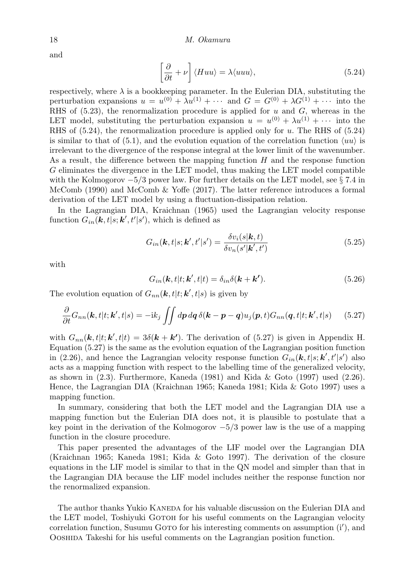and

$$
\left[\frac{\partial}{\partial t} + \nu\right] \langle Huu\rangle = \lambda \langle uuu\rangle, \tag{5.24}
$$

respectively, where  $\lambda$  is a bookkeeping parameter. In the Eulerian DIA, substituting the perturbation expansions  $u = u^{(0)} + \lambda u^{(1)} + \cdots$  and  $G = G^{(0)} + \lambda G^{(1)} + \cdots$  into the RHS of (5.23), the renormalization procedure is applied for *u* and *G*, whereas in the LET model, substituting the perturbation expansion  $u = u^{(0)} + \lambda u^{(1)} + \cdots$  into the RHS of (5.24), the renormalization procedure is applied only for *u*. The RHS of (5.24) is similar to that of (5.1), and the evolution equation of the correlation function  $\langle uu \rangle$  is irrelevant to the divergence of the response integral at the lower limit of the wavenumber. As a result, the difference between the mapping function *H* and the response function *G* eliminates the divergence in the LET model, thus making the LET model compatible with the Kolmogorov *−*5*/*3 power law. For further details on the LET model, see *§* 7.4 in McComb (1990) and McComb & Yoffe (2017). The latter reference introduces a formal derivation of the LET model by using a fluctuation-dissipation relation.

In the Lagrangian DIA, Kraichnan (1965) used the Lagrangian velocity response function  $G_{in}(\mathbf{k}, t | s; \mathbf{k}', t' | s')$ , which is defined as

$$
G_{in}(\mathbf{k},t|s;\mathbf{k}',t'|s') = \frac{\delta v_i(s|\mathbf{k},t)}{\delta v_n(s'|\mathbf{k}',t')}
$$
(5.25)

with

$$
G_{in}(\mathbf{k},t|t;\mathbf{k}',t|t) = \delta_{in}\delta(\mathbf{k}+\mathbf{k}').
$$
\n(5.26)

The evolution equation of  $G_{nn}(\mathbf{k}, t|t; \mathbf{k}', t|s)$  is given by

$$
\frac{\partial}{\partial t}G_{nn}(\mathbf{k},t|t;\mathbf{k}',t|s) = -ik_j \iint dp \, dq \, \delta(\mathbf{k} - \mathbf{p} - \mathbf{q}) u_j(\mathbf{p},t) G_{nn}(\mathbf{q},t|t;\mathbf{k}',t|s) \tag{5.27}
$$

with  $G_{nn}(\mathbf{k}, t|t; \mathbf{k}', t|t) = 3\delta(\mathbf{k} + \mathbf{k}')$ . The derivation of (5.27) is given in Appendix H. Equation (5.27) is the same as the evolution equation of the Lagrangian position function in (2.26), and hence the Lagrangian velocity response function  $G_{in}(\mathbf{k}, t|s; \mathbf{k}', t'|s')$  also acts as a mapping function with respect to the labelling time of the generalized velocity, as shown in (2.3). Furthermore, Kaneda (1981) and Kida & Goto (1997) used (2.26). Hence, the Lagrangian DIA (Kraichnan 1965; Kaneda 1981; Kida & Goto 1997) uses a mapping function.

In summary, considering that both the LET model and the Lagrangian DIA use a mapping function but the Eulerian DIA does not, it is plausible to postulate that a key point in the derivation of the Kolmogorov *−*5*/*3 power law is the use of a mapping function in the closure procedure.

This paper presented the advantages of the LIF model over the Lagrangian DIA (Kraichnan 1965; Kaneda 1981; Kida & Goto 1997). The derivation of the closure equations in the LIF model is similar to that in the QN model and simpler than that in the Lagrangian DIA because the LIF model includes neither the response function nor the renormalized expansion.

The author thanks Yukio KANEDA for his valuable discussion on the Eulerian DIA and the LET model. Toshiyuki GOTOH for his useful comments on the Lagrangian velocity correlation function, Susumu GOTO for his interesting comments on assumption (i'), and Ooshida Takeshi for his useful comments on the Lagrangian position function.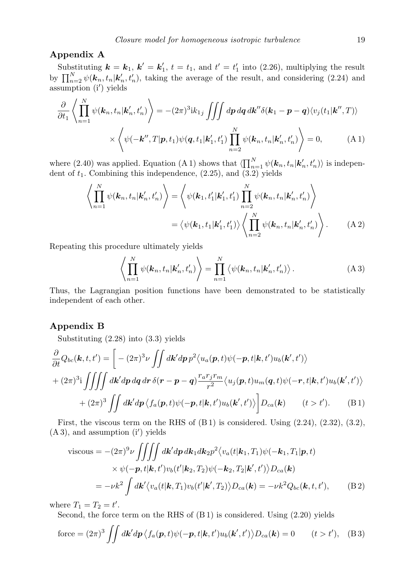#### **Appendix A**

Substituting  $\mathbf{k} = \mathbf{k}_1, \mathbf{k}' = \mathbf{k}'_1, t = t_1$ , and  $t' = t'_1$  into (2.26), multiplying the result by  $\prod_{n=2}^{N} \psi(\mathbf{k}_n, t_n | \mathbf{k}'_n, t'_n)$ , taking the average of the result, and considering (2.24) and assumption (i*′* ) yields

$$
\frac{\partial}{\partial t_1} \left\langle \prod_{n=1}^N \psi(\mathbf{k}_n, t_n | \mathbf{k}'_n, t'_n) \right\rangle = -(2\pi)^3 \mathrm{i} k_{1j} \iiint dp dq d\mathbf{k}'' \delta(\mathbf{k}_1 - \mathbf{p} - \mathbf{q}) \langle v_j(t_1 | \mathbf{k}'', T) \rangle
$$

$$
\times \left\langle \psi(-\mathbf{k}'', T | \mathbf{p}, t_1) \psi(\mathbf{q}, t_1 | \mathbf{k}'_1, t'_1) \prod_{n=2}^N \psi(\mathbf{k}_n, t_n | \mathbf{k}'_n, t'_n) \right\rangle = 0, \quad (A1)
$$

where  $(2.40)$  was applied. Equation  $(A 1)$  shows that  $\langle \prod_{n=1}^{N} \psi(\mathbf{k}_n, t_n | \mathbf{k}'_n, t'_n) \rangle$  is independent of *t*1. Combining this independence, (2.25), and (3.2) yields

$$
\left\langle \prod_{n=1}^{N} \psi(\mathbf{k}_{n}, t_{n} | \mathbf{k}'_{n}, t'_{n}) \right\rangle = \left\langle \psi(\mathbf{k}_{1}, t'_{1} | \mathbf{k}'_{1}, t'_{1}) \prod_{n=2}^{N} \psi(\mathbf{k}_{n}, t_{n} | \mathbf{k}'_{n}, t'_{n}) \right\rangle
$$

$$
= \left\langle \psi(\mathbf{k}_{1}, t_{1} | \mathbf{k}'_{1}, t'_{1}) \right\rangle \left\langle \prod_{n=2}^{N} \psi(\mathbf{k}_{n}, t_{n} | \mathbf{k}'_{n}, t'_{n}) \right\rangle.
$$
 (A 2)

Repeating this procedure ultimately yields

$$
\left\langle \prod_{n=1}^{N} \psi(\mathbf{k}_n, t_n | \mathbf{k}'_n, t'_n) \right\rangle = \prod_{n=1}^{N} \left\langle \psi(\mathbf{k}_n, t_n | \mathbf{k}'_n, t'_n) \right\rangle.
$$
 (A 3)

Thus, the Lagrangian position functions have been demonstrated to be statistically independent of each other.

#### **Appendix B**

Substituting (2.28) into (3.3) yields

$$
\frac{\partial}{\partial t}Q_{bc}(\mathbf{k},t,t') = \left[ -(2\pi)^3 \nu \iint dk' dp \, p^2 \langle u_a(\mathbf{p},t)\psi(-\mathbf{p},t|\mathbf{k},t')u_b(\mathbf{k}',t') \rangle \right.+ (2\pi)^3 \mathbf{i} \iiint dk' dp dq dr \delta(\mathbf{r}-\mathbf{p}-\mathbf{q}) \frac{r_a r_j r_m}{r^2} \langle u_j(\mathbf{p},t)u_m(\mathbf{q},t)\psi(-\mathbf{r},t|\mathbf{k},t')u_b(\mathbf{k}',t') \rangle + (2\pi)^3 \iint dk' dp \langle f_a(\mathbf{p},t)\psi(-\mathbf{p},t|\mathbf{k},t')u_b(\mathbf{k}',t') \rangle \right] D_{ca}(\mathbf{k}) \qquad (t>t').
$$
 (B1)

First, the viscous term on the RHS of  $(B1)$  is considered. Using  $(2.24)$ ,  $(2.32)$ ,  $(3.2)$ , (A 3), and assumption (i*′* ) yields

viscous = 
$$
-(2\pi)^9 \nu \iiint dk' dp \, dk_1 dk_2 p^2 \langle v_a(t|\mathbf{k}_1, T_1) \psi(-\mathbf{k}_1, T_1|\mathbf{p}, t)
$$
  
\n $\times \psi(-\mathbf{p}, t|\mathbf{k}, t') v_b(t'|\mathbf{k}_2, T_2) \psi(-\mathbf{k}_2, T_2|\mathbf{k}', t') \rangle D_{ca}(\mathbf{k})$   
\n $= -\nu k^2 \int d\mathbf{k}' \langle v_a(t|\mathbf{k}, T_1) v_b(t'|\mathbf{k}', T_2) \rangle D_{ca}(\mathbf{k}) = -\nu k^2 Q_{bc}(\mathbf{k}, t, t'),$  (B 2)

where  $T_1 = T_2 = t'$ .

Second, the force term on the RHS of (B 1) is considered. Using (2.20) yields

force = 
$$
(2\pi)^3 \iint d\mathbf{k}' d\mathbf{p} \langle f_a(\mathbf{p}, t) \psi(-\mathbf{p}, t | \mathbf{k}, t') u_b(\mathbf{k}', t') \rangle D_{ca}(\mathbf{k}) = 0
$$
  $(t > t')$ , (B3)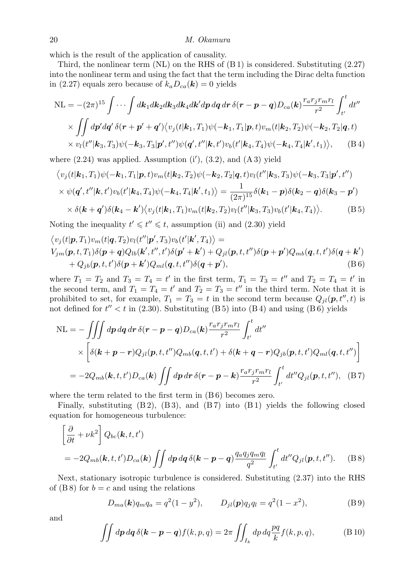which is the result of the application of causality.

Third, the nonlinear term  $(NL)$  on the RHS of  $(B1)$  is considered. Substituting  $(2.27)$ into the nonlinear term and using the fact that the term including the Dirac delta function in (2.27) equals zero because of  $k_a D_{ca}(\mathbf{k}) = 0$  yields

$$
\begin{split} \text{NL} &= -(2\pi)^{15} \int \cdots \int d\mathbf{k}_{1} d\mathbf{k}_{2} d\mathbf{k}_{3} d\mathbf{k}_{4} d\mathbf{k}' dp dq dr \,\delta(\mathbf{r} - \mathbf{p} - \mathbf{q}) D_{ca}(\mathbf{k}) \frac{r_{a} r_{j} r_{m} r_{l}}{r^{2}} \int_{t'}^{t} dt'' \\ &\times \int \int d\mathbf{p}' dq' \,\delta(\mathbf{r} + \mathbf{p}' + \mathbf{q}') \langle v_{j}(t|\mathbf{k}_{1}, T_{1}) \psi(-\mathbf{k}_{1}, T_{1}|\mathbf{p}, t) v_{m}(t|\mathbf{k}_{2}, T_{2}) \psi(-\mathbf{k}_{2}, T_{2}|\mathbf{q}, t) \\ &\times v_{l}(t''|\mathbf{k}_{3}, T_{3}) \psi(-\mathbf{k}_{3}, T_{3}|\mathbf{p}', t'') \psi(\mathbf{q}', t''|\mathbf{k}, t') v_{b}(t'|\mathbf{k}_{4}, T_{4}) \psi(-\mathbf{k}_{4}, T_{4}|\mathbf{k}', t_{1}) \rangle, \end{split} \tag{B.4}
$$

where (2.24) was applied. Assumption (i*′* ), (3.2), and (A 3) yield

$$
\langle v_j(t|\mathbf{k}_1, T_1)\psi(-\mathbf{k}_1, T_1|\mathbf{p}, t)v_m(t|\mathbf{k}_2, T_2)\psi(-\mathbf{k}_2, T_2|\mathbf{q}, t)v_l(t''|\mathbf{k}_3, T_3)\psi(-\mathbf{k}_3, T_3|\mathbf{p}', t'')
$$
  
\n
$$
\times \psi(\mathbf{q}', t''|\mathbf{k}, t')v_b(t'|\mathbf{k}_4, T_4)\psi(-\mathbf{k}_4, T_4|\mathbf{k}', t_1)\rangle = \frac{1}{(2\pi)^{15}}\delta(\mathbf{k}_1 - \mathbf{p})\delta(\mathbf{k}_2 - \mathbf{q})\delta(\mathbf{k}_3 - \mathbf{p}')
$$
  
\n
$$
\times \delta(\mathbf{k} + \mathbf{q}')\delta(\mathbf{k}_4 - \mathbf{k}')\langle v_j(t|\mathbf{k}_1, T_1)v_m(t|\mathbf{k}_2, T_2)v_l(t''|\mathbf{k}_3, T_3)v_b(t'|\mathbf{k}_4, T_4)\rangle.
$$
 (B5)

Noting the inequality  $t' \leq t'' \leq t$ , assumption (ii) and (2.30) yield

$$
\langle v_j(t|\mathbf{p},T_1)v_m(t|\mathbf{q},T_2)v_l(t''|\mathbf{p}',T_3)v_b(t'|\mathbf{k}',T_4)\rangle =V_{jm}(\mathbf{p},t,T_1)\delta(\mathbf{p}+\mathbf{q})Q_{lb}(\mathbf{k}',t'',t')\delta(\mathbf{p}'+\mathbf{k}')+Q_{jl}(\mathbf{p},t,t'')\delta(\mathbf{p}+\mathbf{p}')Q_{mb}(\mathbf{q},t,t')\delta(\mathbf{q}+\mathbf{k}')+Q_{jb}(\mathbf{p},t,t')\delta(\mathbf{p}+\mathbf{k}')Q_{ml}(\mathbf{q},t,t'')\delta(\mathbf{q}+\mathbf{p}'),
$$
(B6)

where  $T_1 = T_2$  and  $T_3 = T_4 = t'$  in the first term,  $T_1 = T_3 = t''$  and  $T_2 = T_4 = t'$  in the second term, and  $T_1 = T_4 = t'$  and  $T_2 = T_3 = t''$  in the third term. Note that it is prohibited to set, for example,  $T_1 = T_3 = t$  in the second term because  $Q_{jl}(\mathbf{p}, t'', t)$  is not defined for  $t'' < t$  in (2.30). Substituting (B 5) into (B 4) and using (B 6) yields

$$
NL = -\iiint dp dq dr \delta(\mathbf{r} - \mathbf{p} - \mathbf{q}) D_{ca}(\mathbf{k}) \frac{r_a r_j r_m r_l}{r^2} \int_{t'}^{t} dt''
$$
  
 
$$
\times \left[ \delta(\mathbf{k} + \mathbf{p} - \mathbf{r}) Q_{jl}(\mathbf{p}, t, t'') Q_{mb}(\mathbf{q}, t, t') + \delta(\mathbf{k} + \mathbf{q} - \mathbf{r}) Q_{jb}(\mathbf{p}, t, t') Q_{ml}(\mathbf{q}, t, t'') \right]
$$
  
= 
$$
-2Q_{mb}(\mathbf{k}, t, t') D_{ca}(\mathbf{k}) \iint dp dr \delta(\mathbf{r} - \mathbf{p} - \mathbf{k}) \frac{r_a r_j r_m r_l}{r^2} \int_{t'}^{t} dt'' Q_{jl}(\mathbf{p}, t, t''), \quad (B7)
$$

where the term related to the first term in  $(B 6)$  becomes zero.

Finally, substituting  $(B2)$ ,  $(B3)$ , and  $(B7)$  into  $(B1)$  yields the following closed equation for homogeneous turbulence:

$$
\left[\frac{\partial}{\partial t} + \nu k^2\right] Q_{bc}(\mathbf{k}, t, t')
$$
  
=  $-2Q_{mb}(\mathbf{k}, t, t')D_{ca}(\mathbf{k}) \iint dp dq \delta(\mathbf{k} - \mathbf{p} - \mathbf{q}) \frac{q_a q_j q_m q_l}{q^2} \int_{t'}^{t} dt'' Q_{jl}(\mathbf{p}, t, t'').$  (B8)

Next, stationary isotropic turbulence is considered. Substituting (2.37) into the RHS of  $(B 8)$  for  $b = c$  and using the relations

$$
D_{ma}(\mathbf{k})q_mq_a = q^2(1-y^2), \qquad D_{jl}(\mathbf{p})q_jq_l = q^2(1-x^2), \tag{B9}
$$

and

$$
\iint d\boldsymbol{p} d\boldsymbol{q} \,\delta(\boldsymbol{k}-\boldsymbol{p}-\boldsymbol{q}) f(k,p,q) = 2\pi \iint_{I_k} dp \, dq \frac{pq}{k} f(k,p,q),\tag{B.10}
$$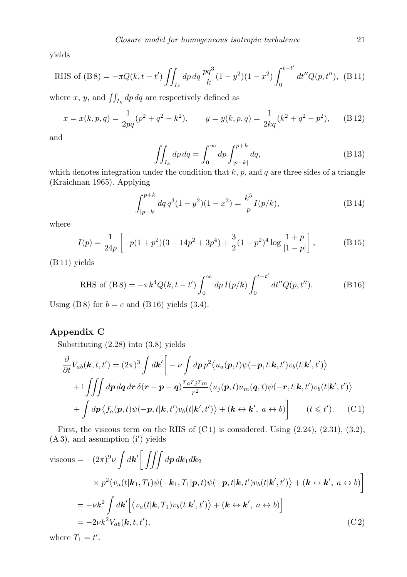yields

RHS of (B8) = 
$$
-\pi Q(k, t - t') \iint_{I_k} dp dq \frac{pq^3}{k} (1 - y^2)(1 - x^2) \int_0^{t - t'} dt'' Q(p, t'')
$$
, (B11)

where *x*, *y*, and  $\iint_{I_k} dp dq$  are respectively defined as

$$
x = x(k, p, q) = \frac{1}{2pq}(p^2 + q^2 - k^2), \qquad y = y(k, p, q) = \frac{1}{2kq}(k^2 + q^2 - p^2), \qquad (B12)
$$

and

$$
\iint_{I_k} dp \, dq = \int_0^\infty dp \int_{|p-k|}^{p+k} dq,\tag{B.13}
$$

which denotes integration under the condition that  $k$ ,  $p$ , and  $q$  are three sides of a triangle (Kraichnan 1965). Applying

$$
\int_{|p-k|}^{p+k} dq \, q^3 (1-y^2)(1-x^2) = \frac{k^5}{p} I(p/k),\tag{B.14}
$$

where

$$
I(p) = \frac{1}{24p} \left[ -p(1+p^2)(3-14p^2+3p^4) + \frac{3}{2}(1-p^2)^4 \log \frac{1+p}{|1-p|} \right],
$$
 (B.15)

(B 11) yields

RHS of (B8) = 
$$
-\pi k^4 Q(k, t - t') \int_0^\infty dp I(p/k) \int_0^{t - t'} dt'' Q(p, t'').
$$
 (B16)

Using (B 8) for  $b = c$  and (B 16) yields (3.4).

# **Appendix C**

Substituting (2.28) into (3.8) yields

$$
\frac{\partial}{\partial t}V_{ab}(\mathbf{k},t,t') = (2\pi)^3 \int d\mathbf{k}' \Bigg[ -\nu \int dp \, p^2 \langle u_a(\mathbf{p},t)\psi(-\mathbf{p},t|\mathbf{k},t')v_b(t|\mathbf{k}',t') \rangle \n+ i \iiint dp dq dr \delta(\mathbf{r}-\mathbf{p}-\mathbf{q}) \frac{r_a r_j r_m}{r^2} \langle u_j(\mathbf{p},t)u_m(\mathbf{q},t)\psi(-\mathbf{r},t|\mathbf{k},t')v_b(t|\mathbf{k}',t') \rangle \n+ \int dp \langle f_a(\mathbf{p},t)\psi(-\mathbf{p},t|\mathbf{k},t')v_b(t|\mathbf{k}',t') \rangle + (\mathbf{k} \leftrightarrow \mathbf{k}', a \leftrightarrow b) \Bigg] \qquad (t \leq t'). \tag{C.1}
$$

First, the viscous term on the RHS of  $(C1)$  is considered. Using  $(2.24)$ ,  $(2.31)$ ,  $(3.2)$ , (A 3), and assumption (i*′* ) yields

viscous = 
$$
-(2\pi)^9 \nu \int d\mathbf{k}' \left[ \iiint dp \, d\mathbf{k}_1 d\mathbf{k}_2
$$
  
\n $\times p^2 \langle v_a(t|\mathbf{k}_1, T_1) \psi(-\mathbf{k}_1, T_1|\mathbf{p}, t) \psi(-\mathbf{p}, t|\mathbf{k}, t') v_b(t|\mathbf{k}', t') \rangle + (\mathbf{k} \leftrightarrow \mathbf{k}', a \leftrightarrow b) \right]$   
\n=  $-\nu k^2 \int d\mathbf{k}' \left[ \langle v_a(t|\mathbf{k}, T_1) v_b(t|\mathbf{k}', t') \rangle + (\mathbf{k} \leftrightarrow \mathbf{k}', a \leftrightarrow b) \right]$   
\n=  $-2\nu k^2 V_{ab}(\mathbf{k}, t, t'),$  (C2)

where  $T_1 = t'$ .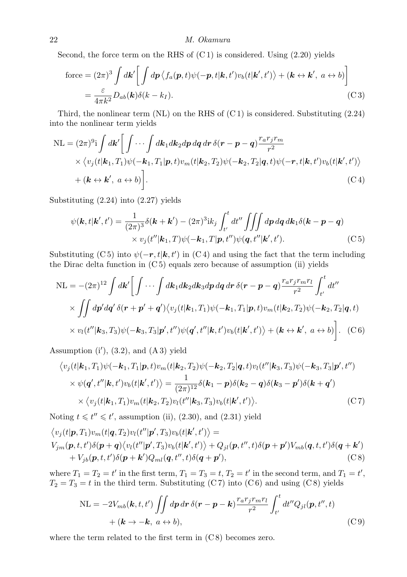Second, the force term on the RHS of  $(C1)$  is considered. Using  $(2.20)$  yields

force = 
$$
(2\pi)^3 \int d\mathbf{k}' \left[ \int dp \langle f_a(\mathbf{p}, t) \psi(-\mathbf{p}, t | \mathbf{k}, t') v_b(t | \mathbf{k}', t') \rangle + (\mathbf{k} \leftrightarrow \mathbf{k}', a \leftrightarrow b) \right]
$$
  
 =  $\frac{\varepsilon}{4\pi k^2} D_{ab}(\mathbf{k}) \delta(k - k_I).$  (C3)

Third, the nonlinear term  $(NL)$  on the RHS of  $(C1)$  is considered. Substituting  $(2.24)$ into the nonlinear term yields

$$
NL = (2\pi)^{9}i \int d\mathbf{k}' \Big[ \int \cdots \int d\mathbf{k}_{1} d\mathbf{k}_{2} dp dq dr \,\delta(\mathbf{r} - \mathbf{p} - \mathbf{q}) \frac{r_{a}r_{j}r_{m}}{r^{2}} \times \langle v_{j}(t|\mathbf{k}_{1}, T_{1})\psi(-\mathbf{k}_{1}, T_{1}|\mathbf{p}, t)v_{m}(t|\mathbf{k}_{2}, T_{2})\psi(-\mathbf{k}_{2}, T_{2}|\mathbf{q}, t)\psi(-\mathbf{r}, t|\mathbf{k}, t')v_{b}(t|\mathbf{k}', t') \rangle + (\mathbf{k} \leftrightarrow \mathbf{k}', a \leftrightarrow b) \Big].
$$
\n(C4)

Substituting (2.24) into (2.27) yields

$$
\psi(\mathbf{k},t|\mathbf{k}',t') = \frac{1}{(2\pi)^3} \delta(\mathbf{k}+\mathbf{k}') - (2\pi)^3 \mathrm{i} k_j \int_{t'}^{t} dt'' \iiint dp dq d\mathbf{k}_1 \delta(\mathbf{k}-\mathbf{p}-\mathbf{q})
$$
  
 
$$
\times v_j(t''|\mathbf{k}_1,T)\psi(-\mathbf{k}_1,T|\mathbf{p},t'')\psi(\mathbf{q},t''|\mathbf{k}',t').
$$
 (C5)

Substituting (C 5) into  $\psi(-r, t|k, t')$  in (C 4) and using the fact that the term including the Dirac delta function in  $(C5)$  equals zero because of assumption (ii) yields

$$
NL = -(2\pi)^{12} \int d\mathbf{k}' \Biggl[ \int \cdots \int d\mathbf{k}_1 d\mathbf{k}_2 d\mathbf{k}_3 dp dq dr \delta(\mathbf{r} - \mathbf{p} - \mathbf{q}) \frac{r_a r_j r_m r_l}{r^2} \int_{t'}^{t} dt''
$$
  
 
$$
\times \iint dp' dq' \delta(\mathbf{r} + \mathbf{p}' + \mathbf{q}') \langle v_j(t|\mathbf{k}_1, T_1) \psi(-\mathbf{k}_1, T_1|\mathbf{p}, t) v_m(t|\mathbf{k}_2, T_2) \psi(-\mathbf{k}_2, T_2|\mathbf{q}, t) \rangle
$$
  
 
$$
\times v_l(t''|\mathbf{k}_3, T_3) \psi(-\mathbf{k}_3, T_3|\mathbf{p}', t'') \psi(\mathbf{q}', t''|\mathbf{k}, t') v_b(t|\mathbf{k}', t') \rangle + (\mathbf{k} \leftrightarrow \mathbf{k}', a \leftrightarrow b) \Biggr].
$$
 (C6)

Assumption (i*′* ), (3.2), and (A 3) yield

$$
\langle v_j(t|\mathbf{k}_1, T_1)\psi(-\mathbf{k}_1, T_1|\mathbf{p}, t)v_m(t|\mathbf{k}_2, T_2)\psi(-\mathbf{k}_2, T_2|\mathbf{q}, t)v_l(t''|\mathbf{k}_3, T_3)\psi(-\mathbf{k}_3, T_3|\mathbf{p}', t'')
$$
  
 
$$
\times \psi(\mathbf{q}', t''|\mathbf{k}, t')v_b(t|\mathbf{k}', t')\rangle = \frac{1}{(2\pi)^{12}}\delta(\mathbf{k}_1 - \mathbf{p})\delta(\mathbf{k}_2 - \mathbf{q})\delta(\mathbf{k}_3 - \mathbf{p}')\delta(\mathbf{k} + \mathbf{q}')
$$
  
 
$$
\times \langle v_j(t|\mathbf{k}_1, T_1)v_m(t|\mathbf{k}_2, T_2)v_l(t''|\mathbf{k}_3, T_3)v_b(t|\mathbf{k}', t')\rangle.
$$
 (C7)

Noting  $t \leq t'' \leq t'$ , assumption (ii), (2.30), and (2.31) yield

$$
\langle v_j(t|\mathbf{p},T_1)v_m(t|\mathbf{q},T_2)v_l(t''|\mathbf{p}',T_3)v_b(t|\mathbf{k}',t')\rangle =V_{jm}(\mathbf{p},t,t')\delta(\mathbf{p}+\mathbf{q})\langle v_l(t''|\mathbf{p}',T_3)v_b(t|\mathbf{k}',t')\rangle + Q_{jl}(\mathbf{p},t'',t)\delta(\mathbf{p}+\mathbf{p}')V_{mb}(\mathbf{q},t,t')\delta(\mathbf{q}+\mathbf{k}')+ V_{jb}(\mathbf{p},t,t')\delta(\mathbf{p}+\mathbf{k}')Q_{ml}(\mathbf{q},t'',t)\delta(\mathbf{q}+\mathbf{p}'),
$$
(C8)

where  $T_1 = T_2 = t'$  in the first term,  $T_1 = T_3 = t$ ,  $T_2 = t'$  in the second term, and  $T_1 = t'$ ,  $T_2 = T_3 = t$  in the third term. Substituting (C7) into (C6) and using (C8) yields

$$
NL = -2V_{mb}(\mathbf{k}, t, t') \iint dp dr \, \delta(\mathbf{r} - \mathbf{p} - \mathbf{k}) \frac{r_a r_j r_m r_l}{r^2} \int_{t'}^{t} dt'' Q_{jl}(\mathbf{p}, t'', t) + (\mathbf{k} \to -\mathbf{k}, a \leftrightarrow b),
$$
 (C9)

where the term related to the first term in  $(C 8)$  becomes zero.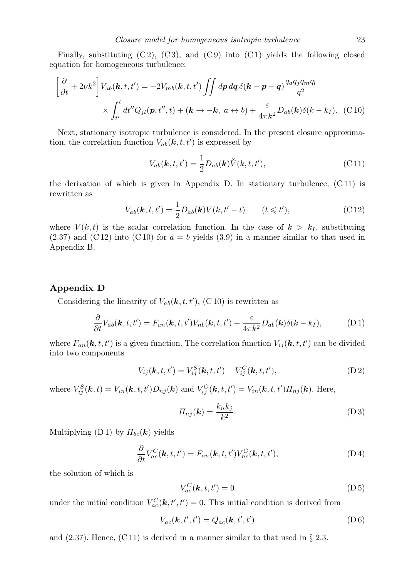Finally, substituting  $(C2)$ ,  $(C3)$ , and  $(C9)$  into  $(C1)$  yields the following closed equation for homogeneous turbulence:

$$
\left[\frac{\partial}{\partial t} + 2\nu k^2\right] V_{ab}(\mathbf{k}, t, t') = -2V_{mb}(\mathbf{k}, t, t') \iint dp dq \,\delta(\mathbf{k} - \mathbf{p} - \mathbf{q}) \frac{q_a q_j q_m q_l}{q^2}
$$

$$
\times \int_{t'}^{t} dt'' Q_{jl}(\mathbf{p}, t'', t) + (\mathbf{k} \to -\mathbf{k}, a \leftrightarrow b) + \frac{\varepsilon}{4\pi k^2} D_{ab}(\mathbf{k}) \delta(k - k_I). \tag{C10}
$$

Next, stationary isotropic turbulence is considered. In the present closure approximation, the correlation function  $V_{ab}(\mathbf{k}, t, t')$  is expressed by

$$
V_{ab}(\mathbf{k},t,t') = \frac{1}{2} D_{ab}(\mathbf{k}) \breve{V}(k,t,t'),\tag{C.11}
$$

the derivation of which is given in Appendix D. In stationary turbulence, (C 11) is rewritten as

$$
V_{ab}(\mathbf{k},t,t') = \frac{1}{2}D_{ab}(\mathbf{k})V(k,t'-t) \qquad (t \leq t'),
$$
\n(C12)

where  $V(k, t)$  is the scalar correlation function. In the case of  $k > k<sub>I</sub>$ , substituting  $(2.37)$  and  $(C12)$  into  $(C10)$  for  $a = b$  yields  $(3.9)$  in a manner similar to that used in Appendix B.

#### **Appendix D**

Considering the linearity of  $V_{ab}(\mathbf{k}, t, t')$ , (C 10) is rewritten as

$$
\frac{\partial}{\partial t}V_{ab}(\boldsymbol{k},t,t') = F_{an}(\boldsymbol{k},t,t')V_{nb}(\boldsymbol{k},t,t') + \frac{\varepsilon}{4\pi k^2}D_{ab}(\boldsymbol{k})\delta(k-k_I),\tag{D.1}
$$

where  $F_{an}(\mathbf{k}, t, t')$  is a given function. The correlation function  $V_{ij}(\mathbf{k}, t, t')$  can be divided into two components

$$
V_{ij}(\mathbf{k},t,t') = V_{ij}^{S}(\mathbf{k},t,t') + V_{ij}^{C}(\mathbf{k},t,t'),
$$
 (D2)

where  $V_{ij}^S(\mathbf{k},t) = V_{in}(\mathbf{k},t,t')D_{nj}(\mathbf{k})$  and  $V_{ij}^C(\mathbf{k},t,t') = V_{in}(\mathbf{k},t,t')\Pi_{nj}(\mathbf{k})$ . Here,

$$
\Pi_{nj}(\mathbf{k}) = \frac{k_n k_j}{k^2}.\tag{D3}
$$

Multiplying  $(D 1)$  by  $\Pi_{bc}(\mathbf{k})$  yields

$$
\frac{\partial}{\partial t}V_{ac}^{C}(\boldsymbol{k},t,t') = F_{an}(\boldsymbol{k},t,t')V_{nc}^{C}(\boldsymbol{k},t,t'),
$$
\n(D4)

the solution of which is

$$
V_{ac}^{C}(\mathbf{k}, t, t') = 0
$$
 (D5)

under the initial condition  $V_{ac}^{C}(\mathbf{k}, t', t') = 0$ . This initial condition is derived from

$$
V_{ac}(\mathbf{k},t',t') = Q_{ac}(\mathbf{k},t',t') \tag{D 6}
$$

and (2.37). Hence, (C 11) is derived in a manner similar to that used in *§* 2.3.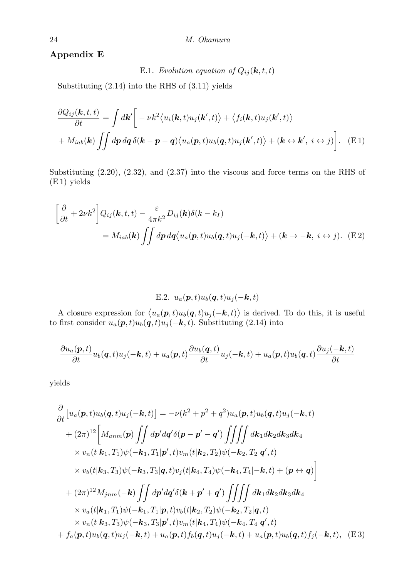# **Appendix E**

E.1. *Evolution equation of*  $Q_{ij}(\mathbf{k}, t, t)$ 

Substituting (2.14) into the RHS of (3.11) yields

$$
\frac{\partial Q_{ij}(\mathbf{k},t,t)}{\partial t} = \int d\mathbf{k}' \bigg[ -\nu k^2 \langle u_i(\mathbf{k},t)u_j(\mathbf{k}',t) \rangle + \langle f_i(\mathbf{k},t)u_j(\mathbf{k}',t) \rangle + M_{iab}(\mathbf{k}) \iint d\mathbf{p} d\mathbf{q} \delta(\mathbf{k}-\mathbf{p}-\mathbf{q}) \langle u_a(\mathbf{p},t)u_b(\mathbf{q},t)u_j(\mathbf{k}',t) \rangle + (\mathbf{k} \leftrightarrow \mathbf{k}', i \leftrightarrow j) \bigg]. \tag{E1}
$$

Substituting (2.20), (2.32), and (2.37) into the viscous and force terms on the RHS of (E 1) yields

$$
\left[\frac{\partial}{\partial t} + 2\nu k^2\right] Q_{ij}(\mathbf{k}, t, t) - \frac{\varepsilon}{4\pi k^2} D_{ij}(\mathbf{k}) \delta(k - k_I)
$$
  
=  $M_{iab}(\mathbf{k}) \iint dp dq \langle u_a(\mathbf{p}, t) u_b(\mathbf{q}, t) u_j(-\mathbf{k}, t) \rangle + (\mathbf{k} \to -\mathbf{k}, i \leftrightarrow j).$  (E2)

E.2. 
$$
u_a(\boldsymbol{p},t)u_b(\boldsymbol{q},t)u_j(-\boldsymbol{k},t)
$$

A closure expression for  $\langle u_a(\mathbf{p},t)u_b(\mathbf{q},t)u_j(-\mathbf{k},t)\rangle$  is derived. To do this, it is useful to first consider  $u_a(\mathbf{p}, t)u_b(\mathbf{q}, t)u_j(-\mathbf{k}, t)$ . Substituting (2.14) into

$$
\frac{\partial u_a(\boldsymbol{p},t)}{\partial t}u_b(\boldsymbol{q},t)u_j(-\boldsymbol{k},t)+u_a(\boldsymbol{p},t)\frac{\partial u_b(\boldsymbol{q},t)}{\partial t}u_j(-\boldsymbol{k},t)+u_a(\boldsymbol{p},t)u_b(\boldsymbol{q},t)\frac{\partial u_j(-\boldsymbol{k},t)}{\partial t}
$$

yields

$$
\frac{\partial}{\partial t} [u_a(\mathbf{p}, t)u_b(\mathbf{q}, t)u_j(-\mathbf{k}, t)] = -\nu(k^2 + p^2 + q^2)u_a(\mathbf{p}, t)u_b(\mathbf{q}, t)u_j(-\mathbf{k}, t) \n+ (2\pi)^{12} [M_{anm}(\mathbf{p}) \iint dp' dq' \delta(\mathbf{p} - \mathbf{p}' - \mathbf{q}') \iiint d\mathbf{k}_1 dk_2 dk_3 dk_4 \n\times v_n(t|\mathbf{k}_1, T_1)\psi(-\mathbf{k}_1, T_1|\mathbf{p}', t)v_m(t|\mathbf{k}_2, T_2)\psi(-\mathbf{k}_2, T_2|\mathbf{q}', t) \n\times v_b(t|\mathbf{k}_3, T_3)\psi(-\mathbf{k}_3, T_3|\mathbf{q}, t)v_j(t|\mathbf{k}_4, T_4)\psi(-\mathbf{k}_4, T_4|-\mathbf{k}, t) + (\mathbf{p} \leftrightarrow \mathbf{q})] \n+ (2\pi)^{12} M_{jnm}(-\mathbf{k}) \iint dp' dq' \delta(\mathbf{k} + \mathbf{p}' + \mathbf{q}') \iiint dk_1 dk_2 dk_3 dk_4 \n\times v_a(t|\mathbf{k}_1, T_1)\psi(-\mathbf{k}_1, T_1|\mathbf{p}, t)v_b(t|\mathbf{k}_2, T_2)\psi(-\mathbf{k}_2, T_2|\mathbf{q}, t) \n\times v_n(t|\mathbf{k}_3, T_3)\psi(-\mathbf{k}_3, T_3|\mathbf{p}', t)v_m(t|\mathbf{k}_4, T_4)\psi(-\mathbf{k}_4, T_4|\mathbf{q}', t) \n+ f_a(\mathbf{p}, t)u_b(\mathbf{q}, t)u_j(-\mathbf{k}, t) + u_a(\mathbf{p}, t)f_b(\mathbf{q}, t)u_j(-\mathbf{k}, t) + u_a(\mathbf{p}, t)u_b(\mathbf{q}, t)f_j(-\mathbf{k}, t), \quad \text{(E 3)}
$$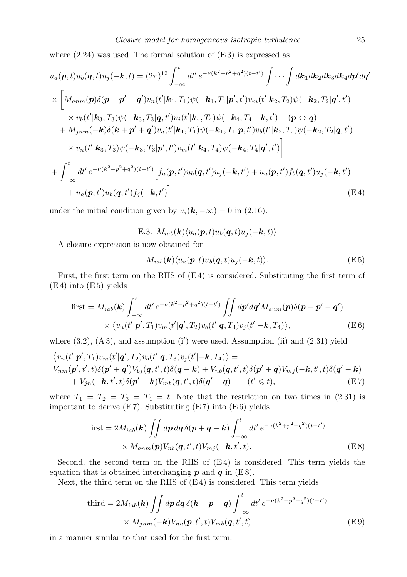where  $(2.24)$  was used. The formal solution of  $(E3)$  is expressed as

$$
u_{a}(\mathbf{p},t)u_{b}(\mathbf{q},t)u_{j}(-\mathbf{k},t)=(2\pi)^{12}\int_{-\infty}^{t}dt' e^{-\nu(k^{2}+p^{2}+q^{2})(t-t')} \int \cdots \int d\mathbf{k}_{1}dk_{2}dk_{3}dk_{4}dp'dq'
$$
  
\n
$$
\times \left[M_{anm}(\mathbf{p})\delta(\mathbf{p}-\mathbf{p}'-\mathbf{q}')v_{n}(t'|\mathbf{k}_{1},T_{1})\psi(-\mathbf{k}_{1},T_{1}|\mathbf{p}',t')v_{m}(t'|\mathbf{k}_{2},T_{2})\psi(-\mathbf{k}_{2},T_{2}|\mathbf{q}',t')\right] \times v_{b}(t'|\mathbf{k}_{3},T_{3})\psi(-\mathbf{k}_{3},T_{3}|\mathbf{q},t')v_{j}(t'|\mathbf{k}_{4},T_{4})\psi(-\mathbf{k}_{4},T_{4}|\mathbf{-k},t') + (\mathbf{p} \leftrightarrow \mathbf{q}) + M_{jnm}(-\mathbf{k})\delta(\mathbf{k}+\mathbf{p}'+\mathbf{q}')v_{a}(t'|\mathbf{k}_{1},T_{1})\psi(-\mathbf{k}_{1},T_{1}|\mathbf{p},t')v_{b}(t'|\mathbf{k}_{2},T_{2})\psi(-\mathbf{k}_{2},T_{2}|\mathbf{q},t')\right] \times v_{n}(t'|\mathbf{k}_{3},T_{3})\psi(-\mathbf{k}_{3},T_{3}|\mathbf{p}',t')v_{m}(t'|\mathbf{k}_{4},T_{4})\psi(-\mathbf{k}_{4},T_{4}|\mathbf{q}',t')\right] + \int_{-\infty}^{t} dt' e^{-\nu(k^{2}+p^{2}+q^{2})(t-t')} \left[f_{a}(\mathbf{p},t')u_{b}(\mathbf{q},t')u_{j}(-\mathbf{k},t') + u_{a}(\mathbf{p},t')f_{b}(\mathbf{q},t')u_{j}(-\mathbf{k},t')\right] + u_{a}(\mathbf{p},t')u_{b}(\mathbf{q},t')f_{j}(-\mathbf{k},t')\right]
$$
(E4)

under the initial condition given by  $u_i(\mathbf{k}, -\infty) = 0$  in (2.16).

E.3.  $M_{iab}(\mathbf{k}) \langle u_a(\mathbf{p},t) u_b(\mathbf{q},t) u_j(-\mathbf{k},t) \rangle$ 

A closure expression is now obtained for

$$
M_{iab}(\mathbf{k}) \langle u_a(\mathbf{p},t) u_b(\mathbf{q},t) u_j(-\mathbf{k},t) \rangle. \tag{E.5}
$$

First, the first term on the RHS of (E 4) is considered. Substituting the first term of  $(E 4)$  into  $(E 5)$  yields

$$
\text{first} = M_{iab}(\mathbf{k}) \int_{-\infty}^{t} dt' e^{-\nu(k^2 + p^2 + q^2)(t - t')} \iint dp' dq' M_{anm}(\mathbf{p}) \delta(\mathbf{p} - \mathbf{p}' - \mathbf{q}')
$$
  
 
$$
\times \langle v_n(t'|\mathbf{p}', T_1) v_m(t'|\mathbf{q}', T_2) v_b(t'|\mathbf{q}, T_3) v_j(t'|\mathbf{-k}, T_4) \rangle, \tag{E6}
$$

where  $(3.2)$ ,  $(A3)$ , and assumption  $(i')$  were used. Assumption  $(ii)$  and  $(2.31)$  yield

$$
\langle v_n(t'|\mathbf{p}',T_1)v_m(t'|\mathbf{q}',T_2)v_b(t'|\mathbf{q},T_3)v_j(t'|\mathbf{-k},T_4)\rangle =
$$
  
\n
$$
V_{nm}(\mathbf{p}',t',t)\delta(\mathbf{p}'+\mathbf{q}')V_{bj}(\mathbf{q},t',t)\delta(\mathbf{q}-\mathbf{k})+V_{nb}(\mathbf{q},t',t)\delta(\mathbf{p}'+\mathbf{q})V_{mj}(-\mathbf{k},t',t)\delta(\mathbf{q}'-\mathbf{k})
$$
  
\n
$$
+V_{jn}(-\mathbf{k},t',t)\delta(\mathbf{p}'-\mathbf{k})V_{mb}(\mathbf{q},t',t)\delta(\mathbf{q}'+\mathbf{q}) \qquad (t'\leq t),
$$
\n(E7)

where  $T_1 = T_2 = T_3 = T_4 = t$ . Note that the restriction on two times in (2.31) is important to derive  $(E7)$ . Substituting  $(E7)$  into  $(E6)$  yields

$$
\text{first} = 2M_{iab}(\mathbf{k}) \iint dp \, dq \, \delta(\mathbf{p} + \mathbf{q} - \mathbf{k}) \int_{-\infty}^{t} dt' \, e^{-\nu(k^2 + p^2 + q^2)(t - t')}
$$

$$
\times M_{ann}(\mathbf{p}) V_{nb}(\mathbf{q}, t', t) V_{mj}(-\mathbf{k}, t', t).
$$
(E8)

Second, the second term on the RHS of  $(E4)$  is considered. This term yields the equation that is obtained interchanging  $p$  and  $q$  in  $(E8)$ .

Next, the third term on the RHS of  $(E4)$  is considered. This term yields

$$
\text{third} = 2M_{iab}(\mathbf{k}) \iint dp \, dq \, \delta(\mathbf{k} - \mathbf{p} - \mathbf{q}) \int_{-\infty}^{t} dt' \, e^{-\nu(k^2 + p^2 + q^2)(t - t')}
$$

$$
\times M_{jnm}(-\mathbf{k}) V_{na}(\mathbf{p}, t', t) V_{mb}(\mathbf{q}, t', t)
$$
(E9)

in a manner similar to that used for the first term.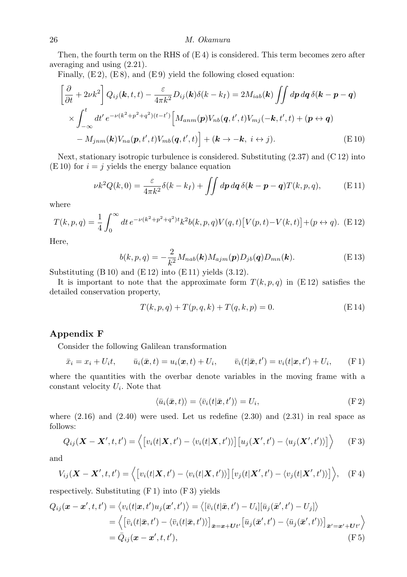Then, the fourth term on the RHS of  $(E4)$  is considered. This term becomes zero after averaging and using (2.21).

Finally,  $(E 2)$ ,  $(E 8)$ , and  $(E 9)$  yield the following closed equation:

$$
\left[\frac{\partial}{\partial t} + 2\nu k^2\right] Q_{ij}(\mathbf{k}, t, t) - \frac{\varepsilon}{4\pi k^2} D_{ij}(\mathbf{k}) \delta(k - k_I) = 2M_{iab}(\mathbf{k}) \iint dp dq \delta(\mathbf{k} - \mathbf{p} - \mathbf{q})
$$
  
 
$$
\times \int_{-\infty}^t dt' e^{-\nu(k^2 + p^2 + q^2)(t - t')} \left[M_{anm}(\mathbf{p}) V_{nb}(\mathbf{q}, t', t) V_{mj}(-\mathbf{k}, t', t) + (\mathbf{p} \leftrightarrow \mathbf{q}) - M_{jnm}(\mathbf{k}) V_{na}(\mathbf{p}, t', t) V_{mb}(\mathbf{q}, t', t)\right] + (\mathbf{k} \to -\mathbf{k}, i \leftrightarrow j).
$$
 (E10)

Next, stationary isotropic turbulence is considered. Substituting  $(2.37)$  and  $(C12)$  into  $(E 10)$  for  $i = j$  yields the energy balance equation

$$
\nu k^2 Q(k,0) = \frac{\varepsilon}{4\pi k^2} \delta(k - k_I) + \iint dp \, dq \, \delta(\mathbf{k} - \mathbf{p} - \mathbf{q}) T(k, p, q), \tag{E11}
$$

where

$$
T(k, p, q) = \frac{1}{4} \int_0^{\infty} dt \, e^{-\nu (k^2 + p^2 + q^2)t} k^2 b(k, p, q) V(q, t) \left[ V(p, t) - V(k, t) \right] + (p \leftrightarrow q). \tag{E12}
$$

Here,

$$
b(k,p,q) = -\frac{2}{k^2} M_{nab}(\mathbf{k}) M_{ajm}(\mathbf{p}) D_{jb}(\mathbf{q}) D_{mn}(\mathbf{k}).
$$
 (E13)

Substituting  $(B 10)$  and  $(E 12)$  into  $(E 11)$  yields  $(3.12)$ .

It is important to note that the approximate form  $T(k, p, q)$  in  $(E12)$  satisfies the detailed conservation property,

$$
T(k, p, q) + T(p, q, k) + T(q, k, p) = 0.
$$
 (E14)

### **Appendix F**

Consider the following Galilean transformation

$$
\bar{x}_i = x_i + U_i t, \qquad \bar{u}_i(\bar{\boldsymbol{x}}, t) = u_i(\boldsymbol{x}, t) + U_i, \qquad \bar{v}_i(t|\bar{\boldsymbol{x}}, t') = v_i(t|\boldsymbol{x}, t') + U_i, \qquad \text{(F 1)}
$$

where the quantities with the overbar denote variables in the moving frame with a constant velocity *U<sup>i</sup>* . Note that

$$
\langle \bar{u}_i(\bar{\boldsymbol{x}},t)\rangle = \langle \bar{v}_i(t|\bar{\boldsymbol{x}},t')\rangle = U_i,
$$
 (F 2)

where  $(2.16)$  and  $(2.40)$  were used. Let us redefine  $(2.30)$  and  $(2.31)$  in real space as follows:

$$
Q_{ij}(\mathbf{X}-\mathbf{X}',t,t')=\langle[v_i(t|\mathbf{X},t')-\langle v_i(t|\mathbf{X},t')\rangle][u_j(\mathbf{X}',t')-\langle u_j(\mathbf{X}',t')\rangle]\rangle \qquad \text{(F 3)}
$$

and

$$
V_{ij}(\boldsymbol{X}-\boldsymbol{X}',t,t')=\langle\big[v_i(t|\boldsymbol{X},t')-\langle v_i(t|\boldsymbol{X},t')\rangle\big]\big[v_j(t|\boldsymbol{X}',t')-\langle v_j(t|\boldsymbol{X}',t')\rangle\big]\rangle,\quad\text{(F4)}
$$

respectively. Substituting  $(F 1)$  into  $(F 3)$  yields

$$
Q_{ij}(\boldsymbol{x} - \boldsymbol{x}', t, t') = \langle v_i(t|\boldsymbol{x}, t')u_j(\boldsymbol{x}', t') \rangle = \langle [\bar{v}_i(t|\bar{\boldsymbol{x}}, t') - U_i][\bar{u}_j(\bar{\boldsymbol{x}}', t') - U_j] \rangle
$$
  
\n
$$
= \langle [\bar{v}_i(t|\bar{\boldsymbol{x}}, t') - \langle \bar{v}_i(t|\bar{\boldsymbol{x}}, t') \rangle]_{\bar{\boldsymbol{x}} = \boldsymbol{x} + \boldsymbol{U}t'} [\bar{u}_j(\bar{\boldsymbol{x}}', t') - \langle \bar{u}_j(\bar{\boldsymbol{x}}', t') \rangle]_{\bar{\boldsymbol{x}}' = \boldsymbol{x}' + \boldsymbol{U}t'} \rangle
$$
  
\n
$$
= \bar{Q}_{ij}(\boldsymbol{x} - \boldsymbol{x}', t, t'), \qquad (\text{F 5})
$$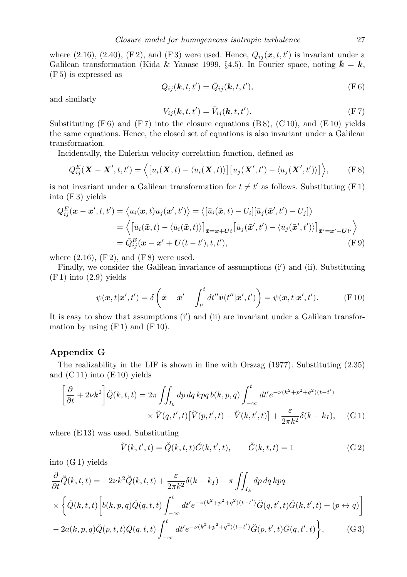where  $(2.16)$ ,  $(2.40)$ ,  $(F2)$ , and  $(F3)$  were used. Hence,  $Q_{ij}(\mathbf{x}, t, t')$  is invariant under a Galilean transformation (Kida & Yanase 1999, §4.5). In Fourier space, noting  $\bar{\mathbf{k}} = \mathbf{k}$ , (F 5) is expressed as

$$
Q_{ij}(\mathbf{k},t,t') = \bar{Q}_{ij}(\mathbf{k},t,t'),
$$
 (F 6)

and similarly

$$
V_{ij}(\mathbf{k},t,t') = \bar{V}_{ij}(\mathbf{k},t,t').
$$
 (F7)

Substituting  $(F 6)$  and  $(F 7)$  into the closure equations  $(B 8)$ ,  $(C 10)$ , and  $(E 10)$  yields the same equations. Hence, the closed set of equations is also invariant under a Galilean transformation.

Incidentally, the Eulerian velocity correlation function, defined as

$$
Q_{ij}^{E}(\boldsymbol{X}-\boldsymbol{X}',t,t')=\langle\big[u_{i}(\boldsymbol{X},t)-\langle u_{i}(\boldsymbol{X},t)\rangle\big]\big[u_{j}(\boldsymbol{X}',t')-\langle u_{j}(\boldsymbol{X}',t')\rangle\big]\rangle, \qquad \text{(F 8)}
$$

is not invariant under a Galilean transformation for  $t \neq t'$  as follows. Substituting (F 1) into (F 3) yields

$$
Q_{ij}^{E}(\boldsymbol{x}-\boldsymbol{x}',t,t') = \langle u_{i}(\boldsymbol{x},t)u_{j}(\boldsymbol{x}',t') \rangle = \langle [\bar{u}_{i}(\bar{\boldsymbol{x}},t) - U_{i}][\bar{u}_{j}(\bar{\boldsymbol{x}}',t') - U_{j}] \rangle
$$
  
\n
$$
= \langle [\bar{u}_{i}(\bar{\boldsymbol{x}},t) - \langle \bar{u}_{i}(\bar{\boldsymbol{x}},t) \rangle]_{\bar{\boldsymbol{x}}=\boldsymbol{x}+Ut} [\bar{u}_{j}(\bar{\boldsymbol{x}}',t') - \langle \bar{u}_{j}(\bar{\boldsymbol{x}}',t') \rangle]_{\bar{\boldsymbol{x}}'=\boldsymbol{x}'+Ut'} \rangle
$$
  
\n
$$
= \bar{Q}_{ij}^{E}(\boldsymbol{x}-\boldsymbol{x}'+\boldsymbol{U}(t-t'),t,t'), \qquad (F\,9)
$$

where  $(2.16)$ ,  $(F2)$ , and  $(F8)$  were used.

Finally, we consider the Galilean invariance of assumptions (i*′* ) and (ii). Substituting (F 1) into (2.9) yields

$$
\psi(\mathbf{x},t|\mathbf{x}',t') = \delta\left(\bar{\mathbf{x}} - \bar{\mathbf{x}}' - \int_{t'}^{t} dt'' \bar{\mathbf{v}}(t''|\bar{\mathbf{x}}',t')\right) = \bar{\psi}(\mathbf{x},t|\mathbf{x}',t'). \tag{F.10}
$$

It is easy to show that assumptions (i*′* ) and (ii) are invariant under a Galilean transformation by using  $(F 1)$  and  $(F 10)$ .

#### **Appendix G**

The realizability in the LIF is shown in line with Orszag (1977). Substituting (2.35) and  $(C 11)$  into  $(E 10)$  yields

$$
\left[\frac{\partial}{\partial t} + 2\nu k^2\right] \breve{Q}(k, t, t) = 2\pi \iint_{I_k} dp \, dq \, kpq \, b(k, p, q) \int_{-\infty}^t dt' e^{-\nu(k^2 + p^2 + q^2)(t - t')}
$$

$$
\times \breve{V}(q, t', t) \left[\breve{V}(p, t', t) - \breve{V}(k, t', t)\right] + \frac{\varepsilon}{2\pi k^2} \delta(k - k_I), \quad (G.1)
$$

where (E 13) was used. Substituting

$$
\breve{V}(k, t', t) = \breve{Q}(k, t, t)\breve{G}(k, t', t), \qquad \breve{G}(k, t, t) = 1
$$
\n(G2)

into (G 1) yields

$$
\frac{\partial}{\partial t}\tilde{Q}(k,t,t) = -2\nu k^2 \tilde{Q}(k,t,t) + \frac{\varepsilon}{2\pi k^2} \delta(k-k_I) - \pi \iint_{I_k} dp dq dp q
$$
\n
$$
\times \left\{ \tilde{Q}(k,t,t) \left[ b(k,p,q) \tilde{Q}(q,t,t) \int_{-\infty}^t dt' e^{-\nu(k^2+p^2+q^2)(t-t')} \tilde{G}(q,t',t) \tilde{G}(k,t',t) + (p \leftrightarrow q) \right] \right.
$$
\n
$$
-2a(k,p,q) \tilde{Q}(p,t,t) \tilde{Q}(q,t,t) \int_{-\infty}^t dt' e^{-\nu(k^2+p^2+q^2)(t-t')} \tilde{G}(p,t',t) \tilde{G}(q,t',t) \right\}, \qquad (G3)
$$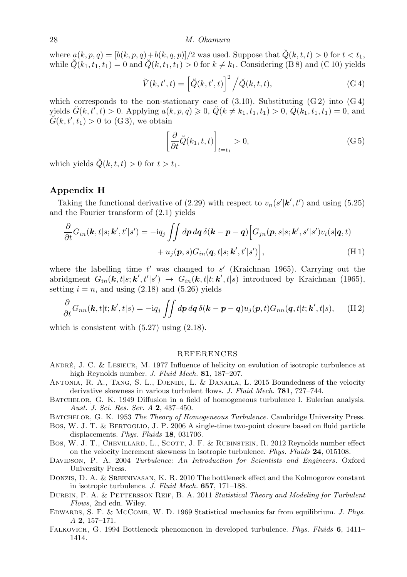where  $a(k, p, q) = \frac{b(k, p, q) + b(k, q, p)}{2}$  was used. Suppose that  $\tilde{Q}(k, t, t) > 0$  for  $t < t_1$ , while  $\check{Q}(k_1, t_1, t_1) = 0$  and  $\check{Q}(k, t_1, t_1) > 0$  for  $k \neq k_1$ . Considering (B 8) and (C 10) yields

$$
\breve{V}(k, t', t) = \left[\breve{Q}(k, t', t)\right]^2 / \breve{Q}(k, t, t),\tag{G4}
$$

which corresponds to the non-stationary case of  $(3.10)$ . Substituting  $(G 2)$  into  $(G 4)$ yields  $\check{G}(k, t', t) > 0$ . Applying  $a(k, p, q) \ge 0$ ,  $\check{Q}(k \ne k_1, t_1, t_1) > 0$ ,  $\check{Q}(k_1, t_1, t_1) = 0$ , and  $\check{G}(k, t', t_1) > 0$  to (G3), we obtain

$$
\left[\frac{\partial}{\partial t}\breve{Q}(k_1, t, t)\right]_{t=t_1} > 0, \tag{G.5}
$$

which yields  $\check{Q}(k, t, t) > 0$  for  $t > t_1$ .

#### **Appendix H**

Taking the functional derivative of (2.29) with respect to  $v_n(s'|\mathbf{k}', t')$  and using (5.25) and the Fourier transform of (2.1) yields

$$
\frac{\partial}{\partial t}G_{in}(\mathbf{k},t|s;\mathbf{k}',t'|s') = -iq_j \iint dp \, dq \, \delta(\mathbf{k}-\mathbf{p}-\mathbf{q}) \Big[ G_{in}(\mathbf{p},s|s;\mathbf{k}',s'|s') v_i(s|\mathbf{q},t) \n+ u_j(\mathbf{p},s) G_{in}(\mathbf{q},t|s;\mathbf{k}',t'|s') \Big],
$$
\n(H1)

where the labelling time *t ′* was changed to *s ′* (Kraichnan 1965). Carrying out the abridgment  $G_{in}(\mathbf{k},t|s;\mathbf{k}',t'|s') \rightarrow G_{in}(\mathbf{k},t|t;\mathbf{k}',t|s)$  introduced by Kraichnan (1965), setting  $i = n$ , and using  $(2.18)$  and  $(5.26)$  yields

$$
\frac{\partial}{\partial t}G_{nn}(\mathbf{k},t|t;\mathbf{k}',t|s) = -iq_j \iint dp \, dq \, \delta(\mathbf{k}-\mathbf{p}-\mathbf{q}) u_j(\mathbf{p},t) G_{nn}(\mathbf{q},t|t;\mathbf{k}',t|s), \quad \text{(H2)}
$$

which is consistent with  $(5.27)$  using  $(2.18)$ .

#### REFERENCES

- ANDRÉ, J. C. & LESIEUR, M. 1977 Influence of helicity on evolution of isotropic turbulence at high Reynolds number. *J. Fluid Mech.* **81**, 187–207.
- Antonia, R. A., Tang, S. L., Djenidi, L. & Danaila, L. 2015 Boundedness of the velocity derivative skewness in various turbulent flows. *J. Fluid Mech.* **781**, 727–744.
- BATCHELOR, G. K. 1949 Diffusion in a field of homogeneous turbulence I. Eulerian analysis. *Aust. J. Sci. Res. Ser. A* **2**, 437–450.
- Batchelor, G. K. 1953 *The Theory of Homogeneous Turbulence*. Cambridge University Press.
- Bos, W. J. T. & Bertoglio, J. P. 2006 A single-time two-point closure based on fluid particle displacements. *Phys. Fluids* **18**, 031706.
- Bos, W. J. T., CHEVILLARD, L., SCOTT, J. F. & RUBINSTEIN, R. 2012 Reynolds number effect on the velocity increment skewness in isotropic turbulence. *Phys. Fluids* **24**, 015108.
- Davidson, P. A. 2004 *Turbulence: An Introduction for Scientists and Engineers* . Oxford University Press.
- Donzis, D. A. & Sreenivasan, K. R. 2010 The bottleneck effect and the Kolmogorov constant in isotropic turbulence. *J. Fluid Mech.* **657**, 171–188.
- Durbin, P. A. & Pettersson Reif, B. A. 2011 *Statistical Theory and Modeling for Turbulent Flows*, 2nd edn. Wiley.
- Edwards, S. F. & McComb, W. D. 1969 Statistical mechanics far from equilibrium. *J. Phys. A* **2**, 157–171.
- Falkovich, G. 1994 Bottleneck phenomenon in developed turbulence. *Phys. Fluids* **6**, 1411– 1414.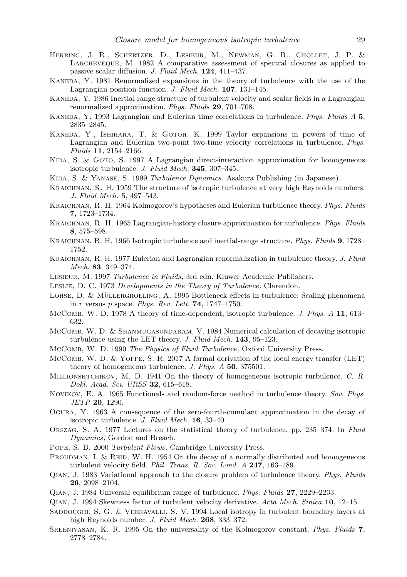- Herring, J. R., Schertzer, D., Lesieur, M., Newman, G. R., Chollet, J. P. & Larcheveque, M. 1982 A comparative assessment of spectral closures as applied to passive scalar diffusion. *J. Fluid Mech.* **124**, 411–437.
- Kaneda, Y. 1981 Renormalized expansions in the theory of turbulence with the use of the Lagrangian position function. *J. Fluid Mech.* **107**, 131–145.
- Kaneda, Y. 1986 Inertial range structure of turbulent velocity and scalar fields in a Lagrangian renormalized approximation. *Phys. Fluids* **29**, 701–708.
- Kaneda, Y. 1993 Lagrangian and Eulerian time correlations in turbulence. *Phys. Fluids A* **5**, 2835–2845.
- Kaneda, Y., Ishihara, T. & Gotoh, K. 1999 Taylor expansions in powers of time of Lagrangian and Eulerian two-point two-time velocity correlations in turbulence. *Phys. Fluids* **11**, 2154–2166.
- KIDA, S. & GOTO, S. 1997 A Lagrangian direct-interaction approximation for homogeneous isotropic turbulence. *J. Fluid Mech.* **345**, 307–345.
- Kida, S. & Yanase, S. 1999 *Turbulence Dynamics*. Asakura Publishing (in Japanese).
- Kraichnan, R. H. 1959 The structure of isotropic turbulence at very high Reynolds numbers. *J. Fluid Mech.* **5**, 497–543.
- Kraichnan, R. H. 1964 Kolmogorov's hypotheses and Eulerian turbulence theory. *Phys. Fluids* **7**, 1723–1734.
- Kraichnan, R. H. 1965 Lagrangian-history closure approximation for turbulence. *Phys. Fluids* **8**, 575–598.
- Kraichnan, R. H. 1966 Isotropic turbulence and inertial-range structure. *Phys. Fluids* **9**, 1728– 1752.
- Kraichnan, R. H. 1977 Eulerian and Lagrangian renormalization in turbulence theory. *J. Fluid Mech.* **83**, 349–374.
- Lesieur, M. 1997 *Turbulence in Fluids*, 3rd edn. Kluwer Academic Publishers.
- Leslie, D. C. 1973 *Developments in the Theory of Turbulence*. Clarendon.
- LOHSE, D. & MÜLLERGROELING, A. 1995 Bottleneck effects in turbulence: Scaling phenomena in *r* versus *p* space. *Phys. Rev. Lett.* **74**, 1747–1750.
- McComb, W. D. 1978 A theory of time-dependent, isotropic turbulence. *J. Phys. A* **11**, 613– 632.
- McComb, W. D. & Shanmugasundaram, V. 1984 Numerical calculation of decaying isotropic turbulence using the LET theory. *J. Fluid Mech.* **143**, 95–123.
- McComb, W. D. 1990 *The Physics of Fluid Turbulence*. Oxford University Press.
- McComb, W. D. & Yoffe, S. R. 2017 A formal derivation of the local energy transfer (LET) theory of homogeneous turbulence. *J. Phys. A* **50**, 375501.
- MILLIONSHTCHIKOV, M. D. 1941 On the theory of homogeneous isotropic turbulence. *C. R. Dokl. Acad. Sci. URSS* **32**, 615–618.
- Novikov, E. A. 1965 Functionals and random-force method in turbulence theory. *Sov. Phys. JETP* **20**, 1290.
- Ogura, Y. 1963 A consequence of the zero-fourth-cumulant approximation in the decay of isotropic turbulence. *J. Fluid Mech.* **16**, 33–40.
- Orszag, S. A. 1977 Lectures on the statistical theory of turbulence, pp. 235–374. In *Fluid Dynamics*, Gordon and Breach.
- Pope, S. B. 2000 *Turbulent Flows*. Cambridge University Press.
- PROUDMAN, I. & REID, W. H. 1954 On the decay of a normally distributed and homogeneous turbulent velocity field. *Phil. Trans. R. Soc. Lond. A* **247**, 163–189.
- Qian, J. 1983 Variational approach to the closure problem of turbulence theory. *Phys. Fluids* **26**, 2098–2104.
- Qian, J. 1984 Universal equilibrium range of turbulence. *Phys. Fluids* **27**, 2229–2233.
- Qian, J. 1994 Skewness factor of turbulent velocity derivative. *Acta Mech. Sinica* **10**, 12–15.
- SADDOUGHI, S. G. & VEERAVALLI, S. V. 1994 Local isotropy in turbulent boundary layers at high Reynolds number. *J. Fluid Mech.* **268**, 333–372.
- Sreenivasan, K. R. 1995 On the universality of the Kolmogorov constant. *Phys. Fluids* **7**, 2778–2784.